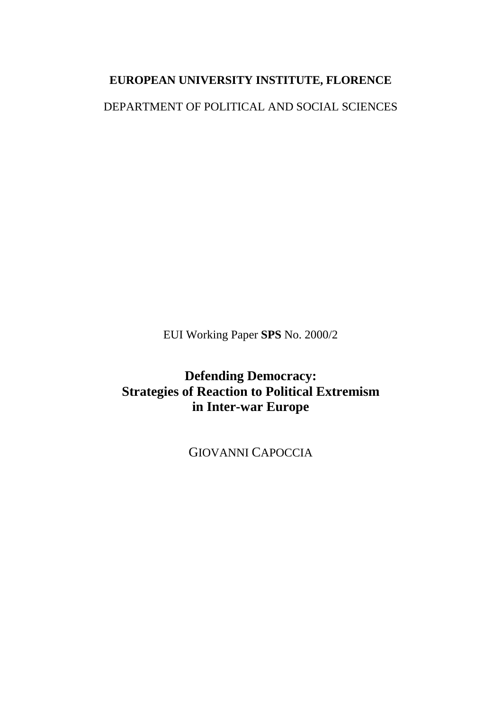### **EUROPEAN UNIVERSITY INSTITUTE, FLORENCE**

DEPARTMENT OF POLITICAL AND SOCIAL SCIENCES

EUI Working Paper **SPS** No. 2000/2

**Defending Democracy: Strategies of Reaction to Political Extremism in Inter-war Europe**

GIOVANNI CAPOCCIA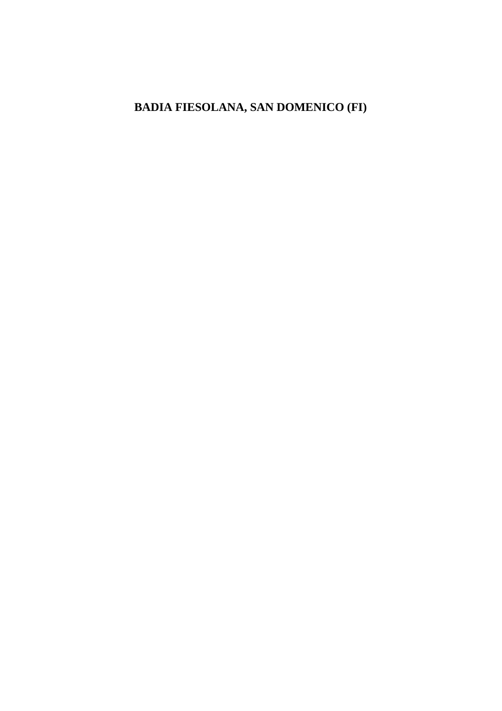## **BADIA FIESOLANA, SAN DOMENICO (FI)**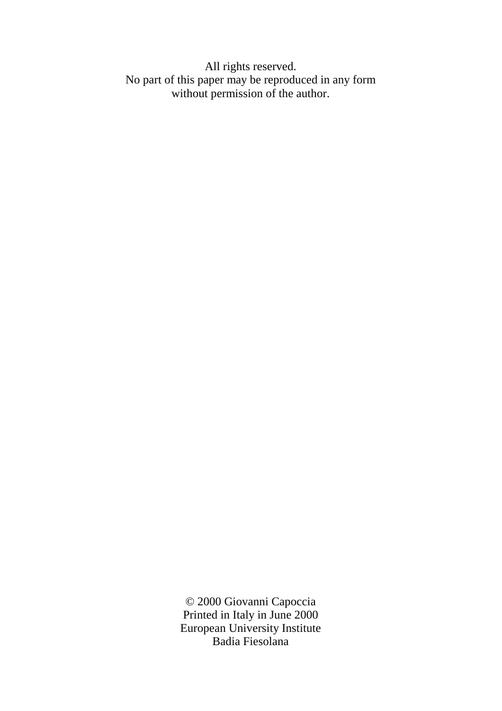All rights reserved. No part of this paper may be reproduced in any form without permission of the author.

> © 2000 Giovanni Capoccia Printed in Italy in June 2000 European University Institute Badia Fiesolana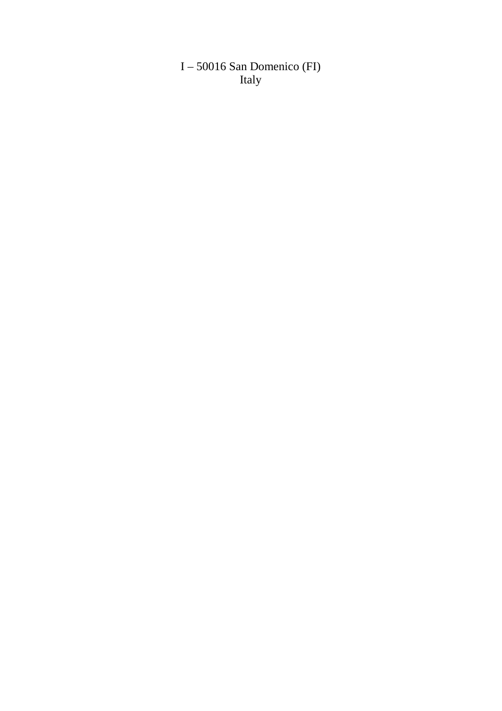I – 50016 San Domenico (FI) Italy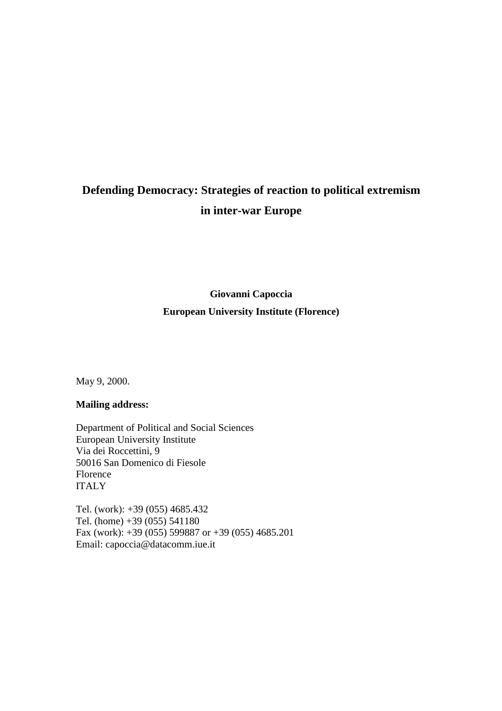# **Defending Democracy: Strategies of reaction to political extremism in inter-war Europe**

## **Giovanni Capoccia European University Institute (Florence)**

May 9, 2000.

#### **Mailing address:**

Department of Political and Social Sciences European University Institute Via dei Roccettini, 9 50016 San Domenico di Fiesole Florence ITALY

Tel. (work): +39 (055) 4685.432 Tel. (home) +39 (055) 541180 Fax (work): +39 (055) 599887 or +39 (055) 4685.201 Email: capoccia@datacomm.iue.it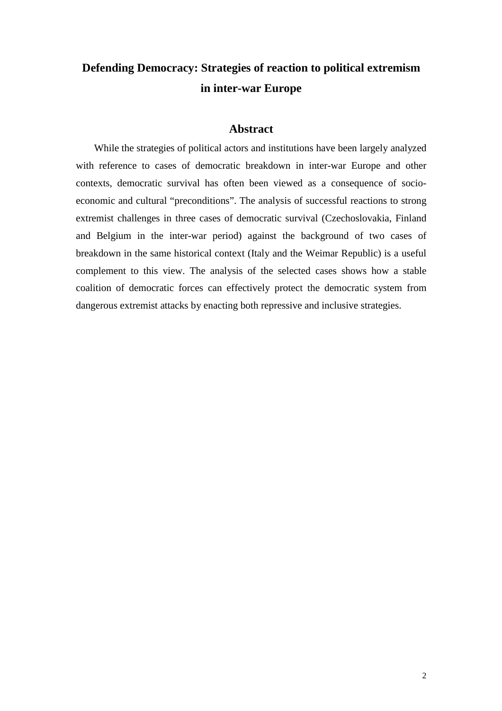# **Defending Democracy: Strategies of reaction to political extremism in inter-war Europe**

### **Abstract**

While the strategies of political actors and institutions have been largely analyzed with reference to cases of democratic breakdown in inter-war Europe and other contexts, democratic survival has often been viewed as a consequence of socioeconomic and cultural "preconditions". The analysis of successful reactions to strong extremist challenges in three cases of democratic survival (Czechoslovakia, Finland and Belgium in the inter-war period) against the background of two cases of breakdown in the same historical context (Italy and the Weimar Republic) is a useful complement to this view. The analysis of the selected cases shows how a stable coalition of democratic forces can effectively protect the democratic system from dangerous extremist attacks by enacting both repressive and inclusive strategies.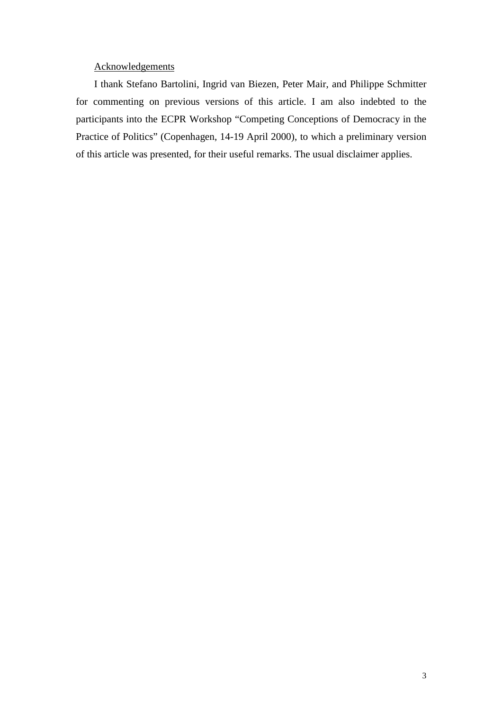#### Acknowledgements

I thank Stefano Bartolini, Ingrid van Biezen, Peter Mair, and Philippe Schmitter for commenting on previous versions of this article. I am also indebted to the participants into the ECPR Workshop "Competing Conceptions of Democracy in the Practice of Politics" (Copenhagen, 14-19 April 2000), to which a preliminary version of this article was presented, for their useful remarks. The usual disclaimer applies.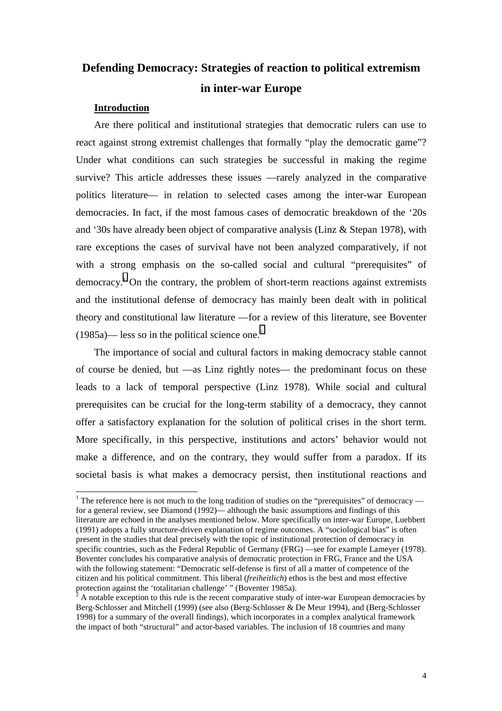# **Defending Democracy: Strategies of reaction to political extremism in inter-war Europe**

#### **Introduction**

Are there political and institutional strategies that democratic rulers can use to react against strong extremist challenges that formally "play the democratic game"? Under what conditions can such strategies be successful in making the regime survive? This article addresses these issues —rarely analyzed in the comparative politics literature— in relation to selected cases among the inter-war European democracies. In fact, if the most famous cases of democratic breakdown of the '20s and '30s have already been object of comparative analysis (Linz & Stepan 1978), with rare exceptions the cases of survival have not been analyzed comparatively, if not with a strong emphasis on the so-called social and cultural "prerequisites" of democracy.1 On the contrary, the problem of short-term reactions against extremists and the institutional defense of democracy has mainly been dealt with in political theory and constitutional law literature —for a review of this literature, see Boventer  $(1985a)$ — less so in the political science one.<sup>2</sup>

The importance of social and cultural factors in making democracy stable cannot of course be denied, but —as Linz rightly notes— the predominant focus on these leads to a lack of temporal perspective (Linz 1978). While social and cultural prerequisites can be crucial for the long-term stability of a democracy, they cannot offer a satisfactory explanation for the solution of political crises in the short term. More specifically, in this perspective, institutions and actors' behavior would not make a difference, and on the contrary, they would suffer from a paradox. If its societal basis is what makes a democracy persist, then institutional reactions and

<sup>&</sup>lt;sup>1</sup> The reference here is not much to the long tradition of studies on the "prerequisites" of democracy for a general review, see Diamond (1992)— although the basic assumptions and findings of this literature are echoed in the analyses mentioned below. More specifically on inter-war Europe, Luebbert (1991) adopts a fully structure-driven explanation of regime outcomes. A "sociological bias" is often present in the studies that deal precisely with the topic of institutional protection of democracy in specific countries, such as the Federal Republic of Germany (FRG) —see for example Lameyer (1978). Boventer concludes his comparative analysis of democratic protection in FRG, France and the USA with the following statement: "Democratic self-defense is first of all a matter of competence of the citizen and his political commitment. This liberal (*freiheitlich*) ethos is the best and most effective protection against the 'totalitarian challenge' " (Boventer 1985a).

A notable exception to this rule is the recent comparative study of inter-war European democracies by Berg-Schlosser and Mitchell (1999) (see also (Berg-Schlosser & De Meur 1994), and (Berg-Schlosser 1998) for a summary of the overall findings), which incorporates in a complex analytical framework the impact of both "structural" and actor-based variables. The inclusion of 18 countries and many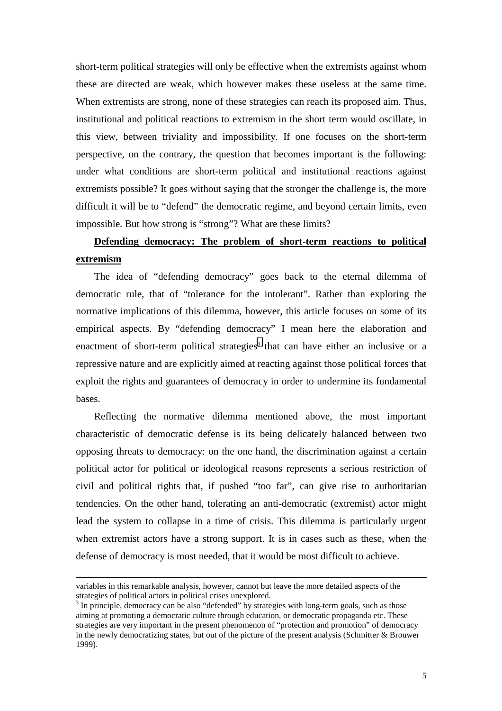short-term political strategies will only be effective when the extremists against whom these are directed are weak, which however makes these useless at the same time. When extremists are strong, none of these strategies can reach its proposed aim. Thus, institutional and political reactions to extremism in the short term would oscillate, in this view, between triviality and impossibility. If one focuses on the short-term perspective, on the contrary, the question that becomes important is the following: under what conditions are short-term political and institutional reactions against extremists possible? It goes without saying that the stronger the challenge is, the more difficult it will be to "defend" the democratic regime, and beyond certain limits, even impossible. But how strong is "strong"? What are these limits?

### **Defending democracy: The problem of short-term reactions to political extremism**

The idea of "defending democracy" goes back to the eternal dilemma of democratic rule, that of "tolerance for the intolerant". Rather than exploring the normative implications of this dilemma, however, this article focuses on some of its empirical aspects. By "defending democracy" I mean here the elaboration and enactment of short-term political strategies<sup>3</sup> that can have either an inclusive or a repressive nature and are explicitly aimed at reacting against those political forces that exploit the rights and guarantees of democracy in order to undermine its fundamental bases.

Reflecting the normative dilemma mentioned above, the most important characteristic of democratic defense is its being delicately balanced between two opposing threats to democracy: on the one hand, the discrimination against a certain political actor for political or ideological reasons represents a serious restriction of civil and political rights that, if pushed "too far", can give rise to authoritarian tendencies. On the other hand, tolerating an anti-democratic (extremist) actor might lead the system to collapse in a time of crisis. This dilemma is particularly urgent when extremist actors have a strong support. It is in cases such as these, when the defense of democracy is most needed, that it would be most difficult to achieve.

 $\overline{a}$ 

variables in this remarkable analysis, however, cannot but leave the more detailed aspects of the strategies of political actors in political crises unexplored.

 $3$  In principle, democracy can be also "defended" by strategies with long-term goals, such as those aiming at promoting a democratic culture through education, or democratic propaganda etc. These strategies are very important in the present phenomenon of "protection and promotion" of democracy in the newly democratizing states, but out of the picture of the present analysis (Schmitter & Brouwer 1999).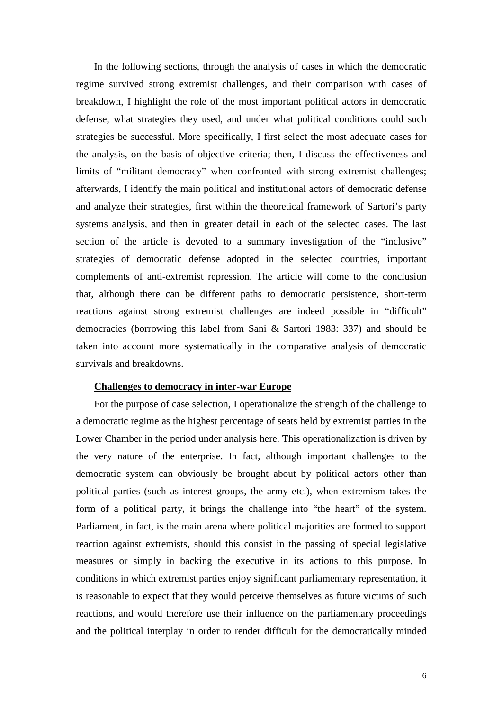In the following sections, through the analysis of cases in which the democratic regime survived strong extremist challenges, and their comparison with cases of breakdown, I highlight the role of the most important political actors in democratic defense, what strategies they used, and under what political conditions could such strategies be successful. More specifically, I first select the most adequate cases for the analysis, on the basis of objective criteria; then, I discuss the effectiveness and limits of "militant democracy" when confronted with strong extremist challenges; afterwards, I identify the main political and institutional actors of democratic defense and analyze their strategies, first within the theoretical framework of Sartori's party systems analysis, and then in greater detail in each of the selected cases. The last section of the article is devoted to a summary investigation of the "inclusive" strategies of democratic defense adopted in the selected countries, important complements of anti-extremist repression. The article will come to the conclusion that, although there can be different paths to democratic persistence, short-term reactions against strong extremist challenges are indeed possible in "difficult" democracies (borrowing this label from Sani & Sartori 1983: 337) and should be taken into account more systematically in the comparative analysis of democratic survivals and breakdowns.

#### **Challenges to democracy in inter-war Europe**

For the purpose of case selection, I operationalize the strength of the challenge to a democratic regime as the highest percentage of seats held by extremist parties in the Lower Chamber in the period under analysis here. This operationalization is driven by the very nature of the enterprise. In fact, although important challenges to the democratic system can obviously be brought about by political actors other than political parties (such as interest groups, the army etc.), when extremism takes the form of a political party, it brings the challenge into "the heart" of the system. Parliament, in fact, is the main arena where political majorities are formed to support reaction against extremists, should this consist in the passing of special legislative measures or simply in backing the executive in its actions to this purpose. In conditions in which extremist parties enjoy significant parliamentary representation, it is reasonable to expect that they would perceive themselves as future victims of such reactions, and would therefore use their influence on the parliamentary proceedings and the political interplay in order to render difficult for the democratically minded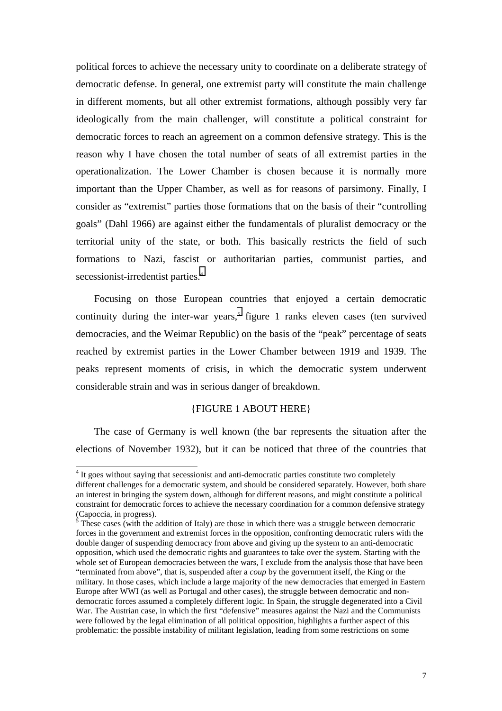political forces to achieve the necessary unity to coordinate on a deliberate strategy of democratic defense. In general, one extremist party will constitute the main challenge in different moments, but all other extremist formations, although possibly very far ideologically from the main challenger, will constitute a political constraint for democratic forces to reach an agreement on a common defensive strategy. This is the reason why I have chosen the total number of seats of all extremist parties in the operationalization. The Lower Chamber is chosen because it is normally more important than the Upper Chamber, as well as for reasons of parsimony. Finally, I consider as "extremist" parties those formations that on the basis of their "controlling goals" (Dahl 1966) are against either the fundamentals of pluralist democracy or the territorial unity of the state, or both. This basically restricts the field of such formations to Nazi, fascist or authoritarian parties, communist parties, and secessionist-irredentist parties.<sup>4</sup>

Focusing on those European countries that enjoyed a certain democratic continuity during the inter-war years,<sup>5</sup> figure 1 ranks eleven cases (ten survived democracies, and the Weimar Republic) on the basis of the "peak" percentage of seats reached by extremist parties in the Lower Chamber between 1919 and 1939. The peaks represent moments of crisis, in which the democratic system underwent considerable strain and was in serious danger of breakdown.

#### {FIGURE 1 ABOUT HERE}

The case of Germany is well known (the bar represents the situation after the elections of November 1932), but it can be noticed that three of the countries that

 $\overline{a}$ 

<sup>&</sup>lt;sup>4</sup> It goes without saying that secessionist and anti-democratic parties constitute two completely different challenges for a democratic system, and should be considered separately. However, both share an interest in bringing the system down, although for different reasons, and might constitute a political constraint for democratic forces to achieve the necessary coordination for a common defensive strategy (Capoccia, in progress).

 $\frac{5}{5}$  These cases (with the addition of Italy) are those in which there was a struggle between democratic forces in the government and extremist forces in the opposition, confronting democratic rulers with the double danger of suspending democracy from above and giving up the system to an anti-democratic opposition, which used the democratic rights and guarantees to take over the system. Starting with the whole set of European democracies between the wars, I exclude from the analysis those that have been "terminated from above", that is, suspended after a *coup* by the government itself, the King or the military. In those cases, which include a large majority of the new democracies that emerged in Eastern Europe after WWI (as well as Portugal and other cases), the struggle between democratic and nondemocratic forces assumed a completely different logic. In Spain, the struggle degenerated into a Civil War. The Austrian case, in which the first "defensive" measures against the Nazi and the Communists were followed by the legal elimination of all political opposition, highlights a further aspect of this problematic: the possible instability of militant legislation, leading from some restrictions on some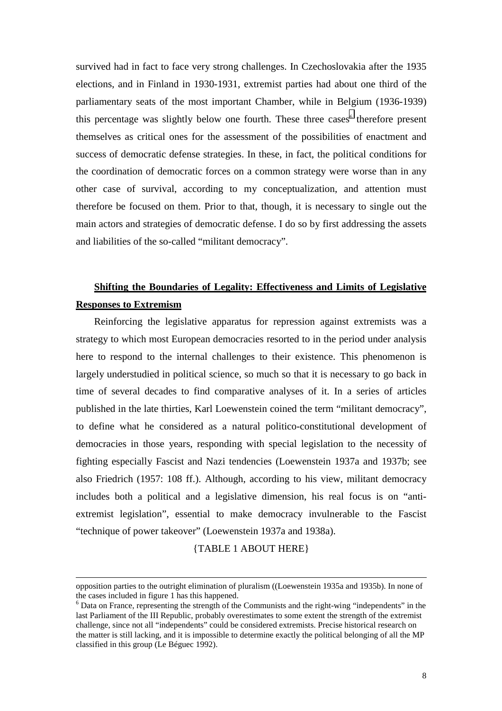survived had in fact to face very strong challenges. In Czechoslovakia after the 1935 elections, and in Finland in 1930-1931, extremist parties had about one third of the parliamentary seats of the most important Chamber, while in Belgium (1936-1939) this percentage was slightly below one fourth. These three cases<sup>6</sup> therefore present themselves as critical ones for the assessment of the possibilities of enactment and success of democratic defense strategies. In these, in fact, the political conditions for the coordination of democratic forces on a common strategy were worse than in any other case of survival, according to my conceptualization, and attention must therefore be focused on them. Prior to that, though, it is necessary to single out the main actors and strategies of democratic defense. I do so by first addressing the assets and liabilities of the so-called "militant democracy".

## **Shifting the Boundaries of Legality: Effectiveness and Limits of Legislative Responses to Extremism**

Reinforcing the legislative apparatus for repression against extremists was a strategy to which most European democracies resorted to in the period under analysis here to respond to the internal challenges to their existence. This phenomenon is largely understudied in political science, so much so that it is necessary to go back in time of several decades to find comparative analyses of it. In a series of articles published in the late thirties, Karl Loewenstein coined the term "militant democracy", to define what he considered as a natural politico-constitutional development of democracies in those years, responding with special legislation to the necessity of fighting especially Fascist and Nazi tendencies (Loewenstein 1937a and 1937b; see also Friedrich (1957: 108 ff.). Although, according to his view, militant democracy includes both a political and a legislative dimension, his real focus is on "antiextremist legislation", essential to make democracy invulnerable to the Fascist "technique of power takeover" (Loewenstein 1937a and 1938a).

{TABLE 1 ABOUT HERE}

 $\overline{a}$ 

opposition parties to the outright elimination of pluralism ((Loewenstein 1935a and 1935b). In none of the cases included in figure 1 has this happened.

<sup>&</sup>lt;sup>6</sup> Data on France, representing the strength of the Communists and the right-wing "independents" in the last Parliament of the III Republic, probably overestimates to some extent the strength of the extremist challenge, since not all "independents" could be considered extremists. Precise historical research on the matter is still lacking, and it is impossible to determine exactly the political belonging of all the MP classified in this group (Le Béguec 1992).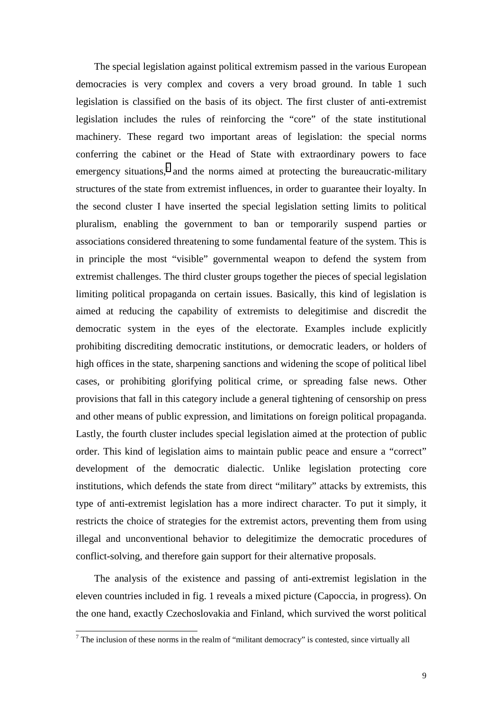The special legislation against political extremism passed in the various European democracies is very complex and covers a very broad ground. In table 1 such legislation is classified on the basis of its object. The first cluster of anti-extremist legislation includes the rules of reinforcing the "core" of the state institutional machinery. These regard two important areas of legislation: the special norms conferring the cabinet or the Head of State with extraordinary powers to face emergency situations, $\bar{z}$  and the norms aimed at protecting the bureaucratic-military structures of the state from extremist influences, in order to guarantee their loyalty. In the second cluster I have inserted the special legislation setting limits to political pluralism, enabling the government to ban or temporarily suspend parties or associations considered threatening to some fundamental feature of the system. This is in principle the most "visible" governmental weapon to defend the system from extremist challenges. The third cluster groups together the pieces of special legislation limiting political propaganda on certain issues. Basically, this kind of legislation is aimed at reducing the capability of extremists to delegitimise and discredit the democratic system in the eyes of the electorate. Examples include explicitly prohibiting discrediting democratic institutions, or democratic leaders, or holders of high offices in the state, sharpening sanctions and widening the scope of political libel cases, or prohibiting glorifying political crime, or spreading false news. Other provisions that fall in this category include a general tightening of censorship on press and other means of public expression, and limitations on foreign political propaganda. Lastly, the fourth cluster includes special legislation aimed at the protection of public order. This kind of legislation aims to maintain public peace and ensure a "correct" development of the democratic dialectic. Unlike legislation protecting core institutions, which defends the state from direct "military" attacks by extremists, this type of anti-extremist legislation has a more indirect character. To put it simply, it restricts the choice of strategies for the extremist actors, preventing them from using illegal and unconventional behavior to delegitimize the democratic procedures of conflict-solving, and therefore gain support for their alternative proposals.

The analysis of the existence and passing of anti-extremist legislation in the eleven countries included in fig. 1 reveals a mixed picture (Capoccia, in progress). On the one hand, exactly Czechoslovakia and Finland, which survived the worst political

<sup>&</sup>lt;sup>7</sup> The inclusion of these norms in the realm of "militant democracy" is contested, since virtually all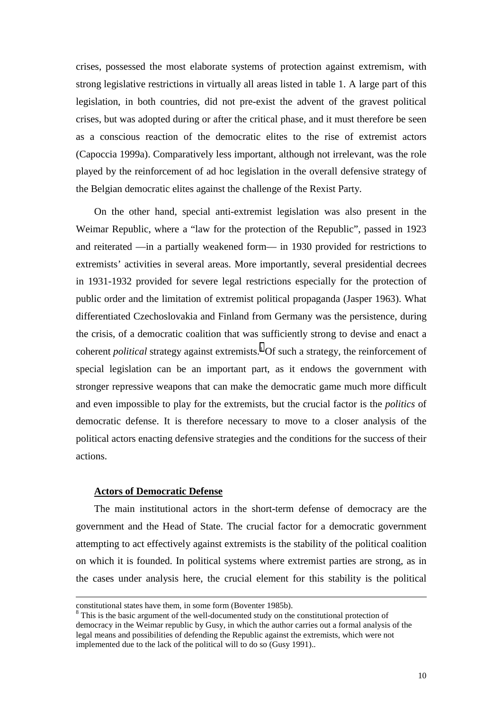crises, possessed the most elaborate systems of protection against extremism, with strong legislative restrictions in virtually all areas listed in table 1. A large part of this legislation, in both countries, did not pre-exist the advent of the gravest political crises, but was adopted during or after the critical phase, and it must therefore be seen as a conscious reaction of the democratic elites to the rise of extremist actors (Capoccia 1999a). Comparatively less important, although not irrelevant, was the role played by the reinforcement of ad hoc legislation in the overall defensive strategy of the Belgian democratic elites against the challenge of the Rexist Party.

On the other hand, special anti-extremist legislation was also present in the Weimar Republic, where a "law for the protection of the Republic", passed in 1923 and reiterated —in a partially weakened form— in 1930 provided for restrictions to extremists' activities in several areas. More importantly, several presidential decrees in 1931-1932 provided for severe legal restrictions especially for the protection of public order and the limitation of extremist political propaganda (Jasper 1963). What differentiated Czechoslovakia and Finland from Germany was the persistence, during the crisis, of a democratic coalition that was sufficiently strong to devise and enact a coherent *political* strategy against extremists.<sup>8</sup> Of such a strategy, the reinforcement of special legislation can be an important part, as it endows the government with stronger repressive weapons that can make the democratic game much more difficult and even impossible to play for the extremists, but the crucial factor is the *politics* of democratic defense. It is therefore necessary to move to a closer analysis of the political actors enacting defensive strategies and the conditions for the success of their actions.

#### **Actors of Democratic Defense**

 $\overline{a}$ 

The main institutional actors in the short-term defense of democracy are the government and the Head of State. The crucial factor for a democratic government attempting to act effectively against extremists is the stability of the political coalition on which it is founded. In political systems where extremist parties are strong, as in the cases under analysis here, the crucial element for this stability is the political

constitutional states have them, in some form (Boventer 1985b).

 $8$  This is the basic argument of the well-documented study on the constitutional protection of democracy in the Weimar republic by Gusy, in which the author carries out a formal analysis of the legal means and possibilities of defending the Republic against the extremists, which were not implemented due to the lack of the political will to do so (Gusy 1991)..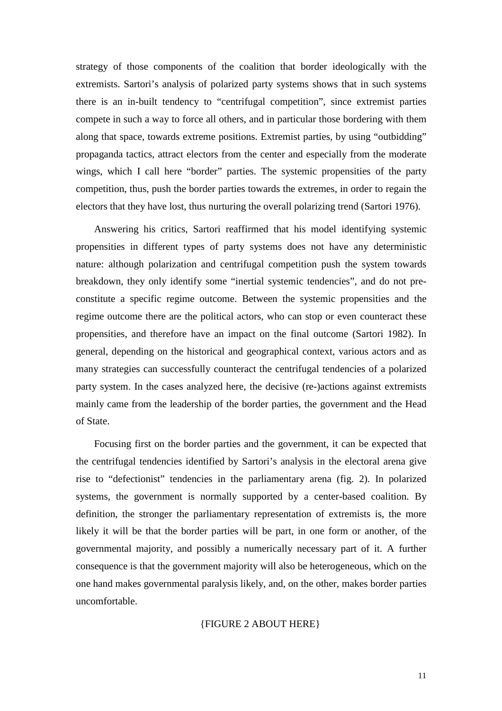strategy of those components of the coalition that border ideologically with the extremists. Sartori's analysis of polarized party systems shows that in such systems there is an in-built tendency to "centrifugal competition", since extremist parties compete in such a way to force all others, and in particular those bordering with them along that space, towards extreme positions. Extremist parties, by using "outbidding" propaganda tactics, attract electors from the center and especially from the moderate wings, which I call here "border" parties. The systemic propensities of the party competition, thus, push the border parties towards the extremes, in order to regain the electors that they have lost, thus nurturing the overall polarizing trend (Sartori 1976).

Answering his critics, Sartori reaffirmed that his model identifying systemic propensities in different types of party systems does not have any deterministic nature: although polarization and centrifugal competition push the system towards breakdown, they only identify some "inertial systemic tendencies", and do not preconstitute a specific regime outcome. Between the systemic propensities and the regime outcome there are the political actors, who can stop or even counteract these propensities, and therefore have an impact on the final outcome (Sartori 1982). In general, depending on the historical and geographical context, various actors and as many strategies can successfully counteract the centrifugal tendencies of a polarized party system. In the cases analyzed here, the decisive (re-)actions against extremists mainly came from the leadership of the border parties, the government and the Head of State.

Focusing first on the border parties and the government, it can be expected that the centrifugal tendencies identified by Sartori's analysis in the electoral arena give rise to "defectionist" tendencies in the parliamentary arena (fig. 2). In polarized systems, the government is normally supported by a center-based coalition. By definition, the stronger the parliamentary representation of extremists is, the more likely it will be that the border parties will be part, in one form or another, of the governmental majority, and possibly a numerically necessary part of it. A further consequence is that the government majority will also be heterogeneous, which on the one hand makes governmental paralysis likely, and, on the other, makes border parties uncomfortable.

#### {FIGURE 2 ABOUT HERE}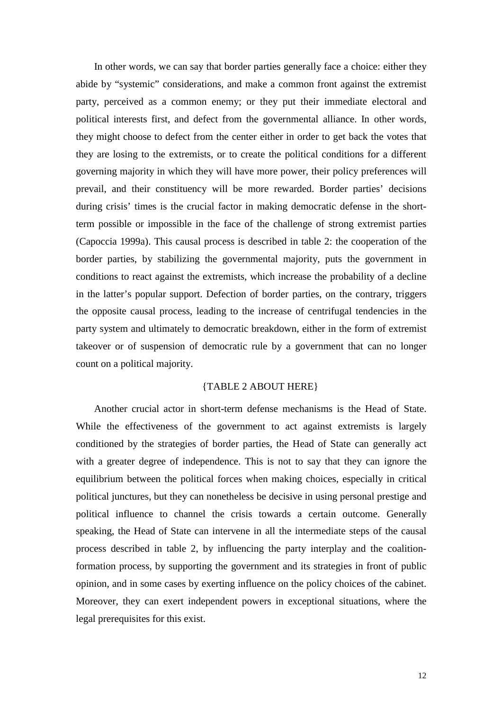In other words, we can say that border parties generally face a choice: either they abide by "systemic" considerations, and make a common front against the extremist party, perceived as a common enemy; or they put their immediate electoral and political interests first, and defect from the governmental alliance. In other words, they might choose to defect from the center either in order to get back the votes that they are losing to the extremists, or to create the political conditions for a different governing majority in which they will have more power, their policy preferences will prevail, and their constituency will be more rewarded. Border parties' decisions during crisis' times is the crucial factor in making democratic defense in the shortterm possible or impossible in the face of the challenge of strong extremist parties (Capoccia 1999a). This causal process is described in table 2: the cooperation of the border parties, by stabilizing the governmental majority, puts the government in conditions to react against the extremists, which increase the probability of a decline in the latter's popular support. Defection of border parties, on the contrary, triggers the opposite causal process, leading to the increase of centrifugal tendencies in the party system and ultimately to democratic breakdown, either in the form of extremist takeover or of suspension of democratic rule by a government that can no longer count on a political majority.

#### {TABLE 2 ABOUT HERE}

Another crucial actor in short-term defense mechanisms is the Head of State. While the effectiveness of the government to act against extremists is largely conditioned by the strategies of border parties, the Head of State can generally act with a greater degree of independence. This is not to say that they can ignore the equilibrium between the political forces when making choices, especially in critical political junctures, but they can nonetheless be decisive in using personal prestige and political influence to channel the crisis towards a certain outcome. Generally speaking, the Head of State can intervene in all the intermediate steps of the causal process described in table 2, by influencing the party interplay and the coalitionformation process, by supporting the government and its strategies in front of public opinion, and in some cases by exerting influence on the policy choices of the cabinet. Moreover, they can exert independent powers in exceptional situations, where the legal prerequisites for this exist.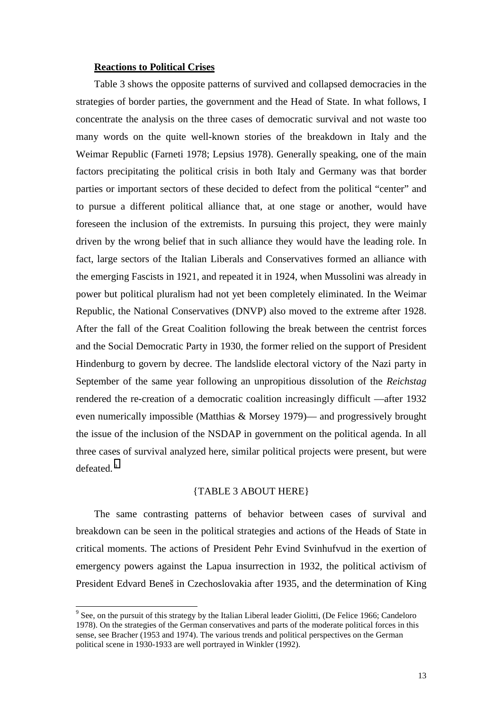#### **Reactions to Political Crises**

Table 3 shows the opposite patterns of survived and collapsed democracies in the strategies of border parties, the government and the Head of State. In what follows, I concentrate the analysis on the three cases of democratic survival and not waste too many words on the quite well-known stories of the breakdown in Italy and the Weimar Republic (Farneti 1978; Lepsius 1978). Generally speaking, one of the main factors precipitating the political crisis in both Italy and Germany was that border parties or important sectors of these decided to defect from the political "center" and to pursue a different political alliance that, at one stage or another, would have foreseen the inclusion of the extremists. In pursuing this project, they were mainly driven by the wrong belief that in such alliance they would have the leading role. In fact, large sectors of the Italian Liberals and Conservatives formed an alliance with the emerging Fascists in 1921, and repeated it in 1924, when Mussolini was already in power but political pluralism had not yet been completely eliminated. In the Weimar Republic, the National Conservatives (DNVP) also moved to the extreme after 1928. After the fall of the Great Coalition following the break between the centrist forces and the Social Democratic Party in 1930, the former relied on the support of President Hindenburg to govern by decree. The landslide electoral victory of the Nazi party in September of the same year following an unpropitious dissolution of the *Reichstag* rendered the re-creation of a democratic coalition increasingly difficult —after 1932 even numerically impossible (Matthias & Morsey 1979)— and progressively brought the issue of the inclusion of the NSDAP in government on the political agenda. In all three cases of survival analyzed here, similar political projects were present, but were defeated. <sup>9</sup>

#### {TABLE 3 ABOUT HERE}

The same contrasting patterns of behavior between cases of survival and breakdown can be seen in the political strategies and actions of the Heads of State in critical moments. The actions of President Pehr Evind Svinhufvud in the exertion of emergency powers against the Lapua insurrection in 1932, the political activism of President Edvard Beneš in Czechoslovakia after 1935, and the determination of King

 $\overline{a}$ 

 $9^9$  See, on the pursuit of this strategy by the Italian Liberal leader Giolitti, (De Felice 1966; Candeloro 1978). On the strategies of the German conservatives and parts of the moderate political forces in this sense, see Bracher (1953 and 1974). The various trends and political perspectives on the German political scene in 1930-1933 are well portrayed in Winkler (1992).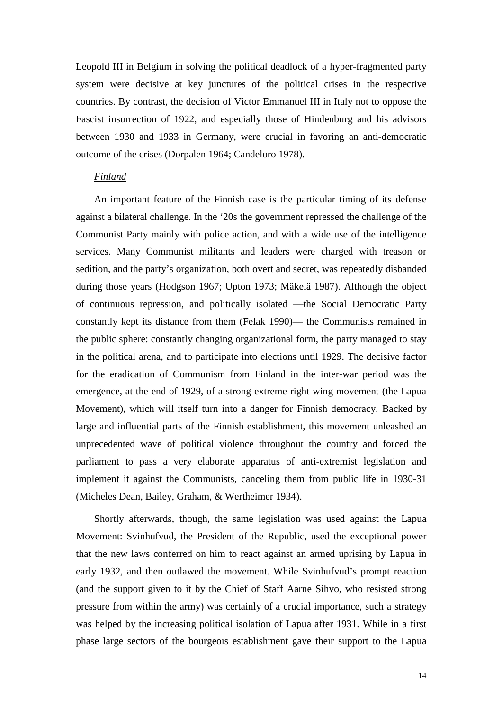Leopold III in Belgium in solving the political deadlock of a hyper-fragmented party system were decisive at key junctures of the political crises in the respective countries. By contrast, the decision of Victor Emmanuel III in Italy not to oppose the Fascist insurrection of 1922, and especially those of Hindenburg and his advisors between 1930 and 1933 in Germany, were crucial in favoring an anti-democratic outcome of the crises (Dorpalen 1964; Candeloro 1978).

#### *Finland*

An important feature of the Finnish case is the particular timing of its defense against a bilateral challenge. In the '20s the government repressed the challenge of the Communist Party mainly with police action, and with a wide use of the intelligence services. Many Communist militants and leaders were charged with treason or sedition, and the party's organization, both overt and secret, was repeatedly disbanded during those years (Hodgson 1967; Upton 1973; Mäkelä 1987). Although the object of continuous repression, and politically isolated —the Social Democratic Party constantly kept its distance from them (Felak 1990)— the Communists remained in the public sphere: constantly changing organizational form, the party managed to stay in the political arena, and to participate into elections until 1929. The decisive factor for the eradication of Communism from Finland in the inter-war period was the emergence, at the end of 1929, of a strong extreme right-wing movement (the Lapua Movement), which will itself turn into a danger for Finnish democracy. Backed by large and influential parts of the Finnish establishment, this movement unleashed an unprecedented wave of political violence throughout the country and forced the parliament to pass a very elaborate apparatus of anti-extremist legislation and implement it against the Communists, canceling them from public life in 1930-31 (Micheles Dean, Bailey, Graham, & Wertheimer 1934).

Shortly afterwards, though, the same legislation was used against the Lapua Movement: Svinhufvud, the President of the Republic, used the exceptional power that the new laws conferred on him to react against an armed uprising by Lapua in early 1932, and then outlawed the movement. While Svinhufvud's prompt reaction (and the support given to it by the Chief of Staff Aarne Sihvo, who resisted strong pressure from within the army) was certainly of a crucial importance, such a strategy was helped by the increasing political isolation of Lapua after 1931. While in a first phase large sectors of the bourgeois establishment gave their support to the Lapua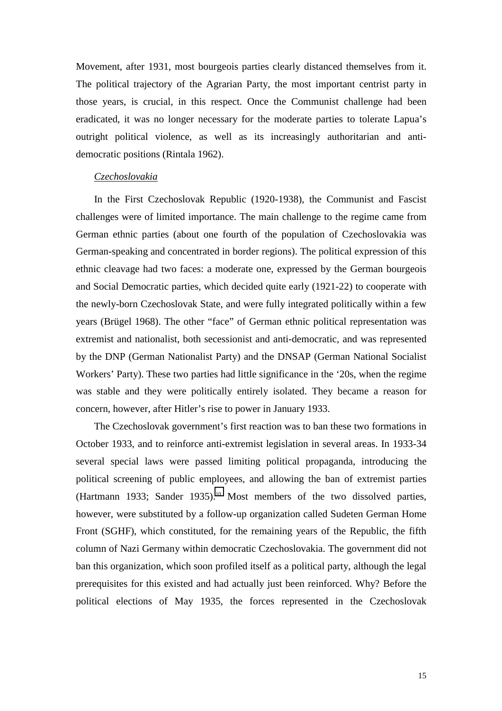Movement, after 1931, most bourgeois parties clearly distanced themselves from it. The political trajectory of the Agrarian Party, the most important centrist party in those years, is crucial, in this respect. Once the Communist challenge had been eradicated, it was no longer necessary for the moderate parties to tolerate Lapua's outright political violence, as well as its increasingly authoritarian and antidemocratic positions (Rintala 1962).

#### *Czechoslovakia*

In the First Czechoslovak Republic (1920-1938), the Communist and Fascist challenges were of limited importance. The main challenge to the regime came from German ethnic parties (about one fourth of the population of Czechoslovakia was German-speaking and concentrated in border regions). The political expression of this ethnic cleavage had two faces: a moderate one, expressed by the German bourgeois and Social Democratic parties, which decided quite early (1921-22) to cooperate with the newly-born Czechoslovak State, and were fully integrated politically within a few years (Brügel 1968). The other "face" of German ethnic political representation was extremist and nationalist, both secessionist and anti-democratic, and was represented by the DNP (German Nationalist Party) and the DNSAP (German National Socialist Workers' Party). These two parties had little significance in the '20s, when the regime was stable and they were politically entirely isolated. They became a reason for concern, however, after Hitler's rise to power in January 1933.

The Czechoslovak government's first reaction was to ban these two formations in October 1933, and to reinforce anti-extremist legislation in several areas. In 1933-34 several special laws were passed limiting political propaganda, introducing the political screening of public employees, and allowing the ban of extremist parties (Hartmann 1933; Sander 1935).<sup>10</sup> Most members of the two dissolved parties, however, were substituted by a follow-up organization called Sudeten German Home Front (SGHF), which constituted, for the remaining years of the Republic, the fifth column of Nazi Germany within democratic Czechoslovakia. The government did not ban this organization, which soon profiled itself as a political party, although the legal prerequisites for this existed and had actually just been reinforced. Why? Before the political elections of May 1935, the forces represented in the Czechoslovak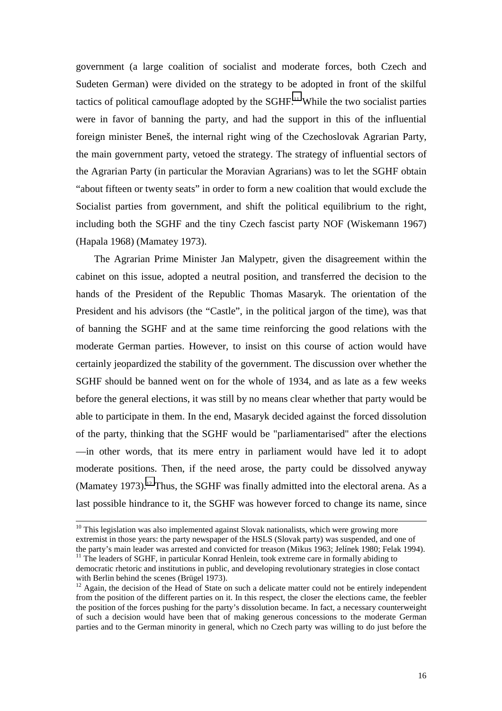government (a large coalition of socialist and moderate forces, both Czech and Sudeten German) were divided on the strategy to be adopted in front of the skilful tactics of political camouflage adopted by the  $SGHF<sup>11</sup>$  While the two socialist parties were in favor of banning the party, and had the support in this of the influential foreign minister Beneš, the internal right wing of the Czechoslovak Agrarian Party, the main government party, vetoed the strategy. The strategy of influential sectors of the Agrarian Party (in particular the Moravian Agrarians) was to let the SGHF obtain "about fifteen or twenty seats" in order to form a new coalition that would exclude the Socialist parties from government, and shift the political equilibrium to the right, including both the SGHF and the tiny Czech fascist party NOF (Wiskemann 1967) (Hapala 1968) (Mamatey 1973).

The Agrarian Prime Minister Jan Malypetr, given the disagreement within the cabinet on this issue, adopted a neutral position, and transferred the decision to the hands of the President of the Republic Thomas Masaryk. The orientation of the President and his advisors (the "Castle", in the political jargon of the time), was that of banning the SGHF and at the same time reinforcing the good relations with the moderate German parties. However, to insist on this course of action would have certainly jeopardized the stability of the government. The discussion over whether the SGHF should be banned went on for the whole of 1934, and as late as a few weeks before the general elections, it was still by no means clear whether that party would be able to participate in them. In the end, Masaryk decided against the forced dissolution of the party, thinking that the SGHF would be "parliamentarised" after the elections —in other words, that its mere entry in parliament would have led it to adopt moderate positions. Then, if the need arose, the party could be dissolved anyway (Mamatey 1973).<sup>12</sup> Thus, the SGHF was finally admitted into the electoral arena. As a last possible hindrance to it, the SGHF was however forced to change its name, since

 $10$  This legislation was also implemented against Slovak nationalists, which were growing more extremist in those years: the party newspaper of the HSLS (Slovak party) was suspended, and one of the party's main leader was arrested and convicted for treason (Mikus 1963; Jelínek 1980; Felak 1994).  $11$ <sup>11</sup> The leaders of SGHF, in particular Konrad Henlein, took extreme care in formally abiding to

democratic rhetoric and institutions in public, and developing revolutionary strategies in close contact with Berlin behind the scenes (Brügel 1973).

<sup>&</sup>lt;sup>12</sup> Again, the decision of the Head of State on such a delicate matter could not be entirely independent from the position of the different parties on it. In this respect, the closer the elections came, the feebler the position of the forces pushing for the party's dissolution became. In fact, a necessary counterweight of such a decision would have been that of making generous concessions to the moderate German parties and to the German minority in general, which no Czech party was willing to do just before the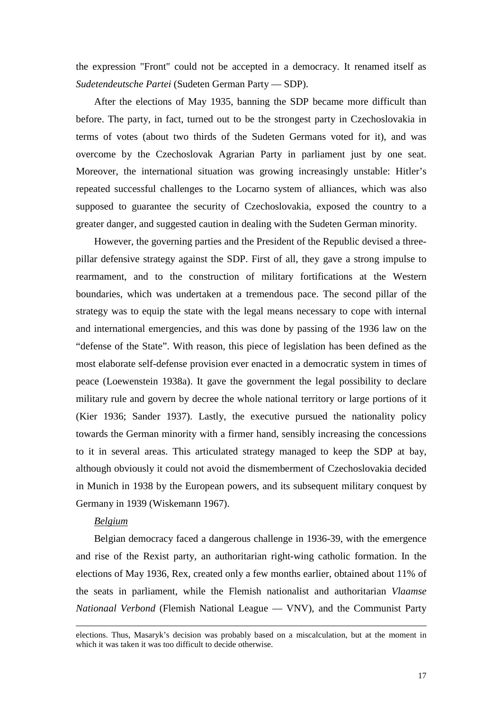the expression "Front" could not be accepted in a democracy. It renamed itself as *Sudetendeutsche Partei* (Sudeten German Party — SDP).

After the elections of May 1935, banning the SDP became more difficult than before. The party, in fact, turned out to be the strongest party in Czechoslovakia in terms of votes (about two thirds of the Sudeten Germans voted for it), and was overcome by the Czechoslovak Agrarian Party in parliament just by one seat. Moreover, the international situation was growing increasingly unstable: Hitler's repeated successful challenges to the Locarno system of alliances, which was also supposed to guarantee the security of Czechoslovakia, exposed the country to a greater danger, and suggested caution in dealing with the Sudeten German minority.

However, the governing parties and the President of the Republic devised a threepillar defensive strategy against the SDP. First of all, they gave a strong impulse to rearmament, and to the construction of military fortifications at the Western boundaries, which was undertaken at a tremendous pace. The second pillar of the strategy was to equip the state with the legal means necessary to cope with internal and international emergencies, and this was done by passing of the 1936 law on the "defense of the State". With reason, this piece of legislation has been defined as the most elaborate self-defense provision ever enacted in a democratic system in times of peace (Loewenstein 1938a). It gave the government the legal possibility to declare military rule and govern by decree the whole national territory or large portions of it (Kier 1936; Sander 1937). Lastly, the executive pursued the nationality policy towards the German minority with a firmer hand, sensibly increasing the concessions to it in several areas. This articulated strategy managed to keep the SDP at bay, although obviously it could not avoid the dismemberment of Czechoslovakia decided in Munich in 1938 by the European powers, and its subsequent military conquest by Germany in 1939 (Wiskemann 1967).

#### *Belgium*

 $\overline{a}$ 

Belgian democracy faced a dangerous challenge in 1936-39, with the emergence and rise of the Rexist party, an authoritarian right-wing catholic formation. In the elections of May 1936, Rex, created only a few months earlier, obtained about 11% of the seats in parliament, while the Flemish nationalist and authoritarian *Vlaamse Nationaal Verbond* (Flemish National League — VNV), and the Communist Party

elections. Thus, Masaryk's decision was probably based on a miscalculation, but at the moment in which it was taken it was too difficult to decide otherwise.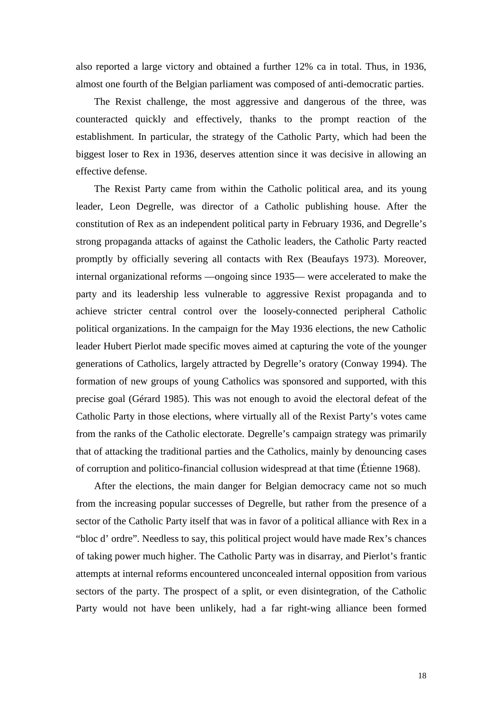also reported a large victory and obtained a further 12% ca in total. Thus, in 1936, almost one fourth of the Belgian parliament was composed of anti-democratic parties.

The Rexist challenge, the most aggressive and dangerous of the three, was counteracted quickly and effectively, thanks to the prompt reaction of the establishment. In particular, the strategy of the Catholic Party, which had been the biggest loser to Rex in 1936, deserves attention since it was decisive in allowing an effective defense.

The Rexist Party came from within the Catholic political area, and its young leader, Leon Degrelle, was director of a Catholic publishing house. After the constitution of Rex as an independent political party in February 1936, and Degrelle's strong propaganda attacks of against the Catholic leaders, the Catholic Party reacted promptly by officially severing all contacts with Rex (Beaufays 1973). Moreover, internal organizational reforms —ongoing since 1935— were accelerated to make the party and its leadership less vulnerable to aggressive Rexist propaganda and to achieve stricter central control over the loosely-connected peripheral Catholic political organizations. In the campaign for the May 1936 elections, the new Catholic leader Hubert Pierlot made specific moves aimed at capturing the vote of the younger generations of Catholics, largely attracted by Degrelle's oratory (Conway 1994). The formation of new groups of young Catholics was sponsored and supported, with this precise goal (Gérard 1985). This was not enough to avoid the electoral defeat of the Catholic Party in those elections, where virtually all of the Rexist Party's votes came from the ranks of the Catholic electorate. Degrelle's campaign strategy was primarily that of attacking the traditional parties and the Catholics, mainly by denouncing cases of corruption and politico-financial collusion widespread at that time (Étienne 1968).

After the elections, the main danger for Belgian democracy came not so much from the increasing popular successes of Degrelle, but rather from the presence of a sector of the Catholic Party itself that was in favor of a political alliance with Rex in a "bloc d' ordre". Needless to say, this political project would have made Rex's chances of taking power much higher. The Catholic Party was in disarray, and Pierlot's frantic attempts at internal reforms encountered unconcealed internal opposition from various sectors of the party. The prospect of a split, or even disintegration, of the Catholic Party would not have been unlikely, had a far right-wing alliance been formed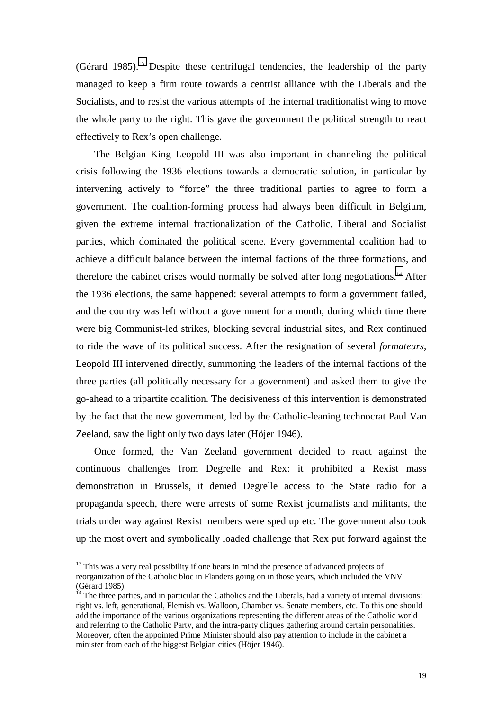(Gérard 1985).13 Despite these centrifugal tendencies, the leadership of the party managed to keep a firm route towards a centrist alliance with the Liberals and the Socialists, and to resist the various attempts of the internal traditionalist wing to move the whole party to the right. This gave the government the political strength to react effectively to Rex's open challenge.

The Belgian King Leopold III was also important in channeling the political crisis following the 1936 elections towards a democratic solution, in particular by intervening actively to "force" the three traditional parties to agree to form a government. The coalition-forming process had always been difficult in Belgium, given the extreme internal fractionalization of the Catholic, Liberal and Socialist parties, which dominated the political scene. Every governmental coalition had to achieve a difficult balance between the internal factions of the three formations, and therefore the cabinet crises would normally be solved after long negotiations.<sup>14</sup> After the 1936 elections, the same happened: several attempts to form a government failed, and the country was left without a government for a month; during which time there were big Communist-led strikes, blocking several industrial sites, and Rex continued to ride the wave of its political success. After the resignation of several *formateurs*, Leopold III intervened directly, summoning the leaders of the internal factions of the three parties (all politically necessary for a government) and asked them to give the go-ahead to a tripartite coalition. The decisiveness of this intervention is demonstrated by the fact that the new government, led by the Catholic-leaning technocrat Paul Van Zeeland, saw the light only two days later (Höjer 1946).

Once formed, the Van Zeeland government decided to react against the continuous challenges from Degrelle and Rex: it prohibited a Rexist mass demonstration in Brussels, it denied Degrelle access to the State radio for a propaganda speech, there were arrests of some Rexist journalists and militants, the trials under way against Rexist members were sped up etc. The government also took up the most overt and symbolically loaded challenge that Rex put forward against the

 $\overline{a}$ 

<sup>&</sup>lt;sup>13</sup> This was a very real possibility if one bears in mind the presence of advanced projects of reorganization of the Catholic bloc in Flanders going on in those years, which included the VNV (Gérard 1985).

 $14$  The three parties, and in particular the Catholics and the Liberals, had a variety of internal divisions: right vs. left, generational, Flemish vs. Walloon, Chamber vs. Senate members, etc. To this one should add the importance of the various organizations representing the different areas of the Catholic world and referring to the Catholic Party, and the intra-party cliques gathering around certain personalities. Moreover, often the appointed Prime Minister should also pay attention to include in the cabinet a minister from each of the biggest Belgian cities (Höjer 1946).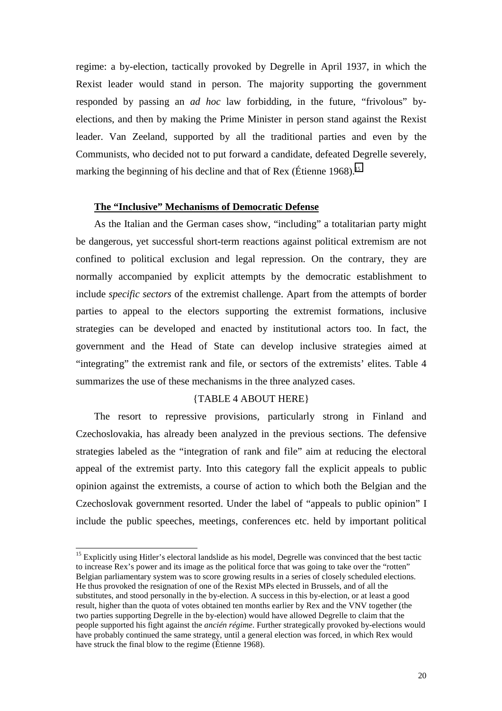regime: a by-election, tactically provoked by Degrelle in April 1937, in which the Rexist leader would stand in person. The majority supporting the government responded by passing an *ad hoc* law forbidding, in the future, "frivolous" byelections, and then by making the Prime Minister in person stand against the Rexist leader. Van Zeeland, supported by all the traditional parties and even by the Communists, who decided not to put forward a candidate, defeated Degrelle severely, marking the beginning of his decline and that of Rex (Étienne 1968).<sup>15</sup>

#### **The "Inclusive" Mechanisms of Democratic Defense**

As the Italian and the German cases show, "including" a totalitarian party might be dangerous, yet successful short-term reactions against political extremism are not confined to political exclusion and legal repression. On the contrary, they are normally accompanied by explicit attempts by the democratic establishment to include *specific sectors* of the extremist challenge. Apart from the attempts of border parties to appeal to the electors supporting the extremist formations, inclusive strategies can be developed and enacted by institutional actors too. In fact, the government and the Head of State can develop inclusive strategies aimed at "integrating" the extremist rank and file, or sectors of the extremists' elites. Table 4 summarizes the use of these mechanisms in the three analyzed cases.

#### {TABLE 4 ABOUT HERE}

The resort to repressive provisions, particularly strong in Finland and Czechoslovakia, has already been analyzed in the previous sections. The defensive strategies labeled as the "integration of rank and file" aim at reducing the electoral appeal of the extremist party. Into this category fall the explicit appeals to public opinion against the extremists, a course of action to which both the Belgian and the Czechoslovak government resorted. Under the label of "appeals to public opinion" I include the public speeches, meetings, conferences etc. held by important political

l

<sup>&</sup>lt;sup>15</sup> Explicitly using Hitler's electoral landslide as his model. Degrelle was convinced that the best tactic to increase Rex's power and its image as the political force that was going to take over the "rotten" Belgian parliamentary system was to score growing results in a series of closely scheduled elections. He thus provoked the resignation of one of the Rexist MPs elected in Brussels, and of all the substitutes, and stood personally in the by-election. A success in this by-election, or at least a good result, higher than the quota of votes obtained ten months earlier by Rex and the VNV together (the two parties supporting Degrelle in the by-election) would have allowed Degrelle to claim that the people supported his fight against the *ancién régime*. Further strategically provoked by-elections would have probably continued the same strategy, until a general election was forced, in which Rex would have struck the final blow to the regime (Étienne 1968).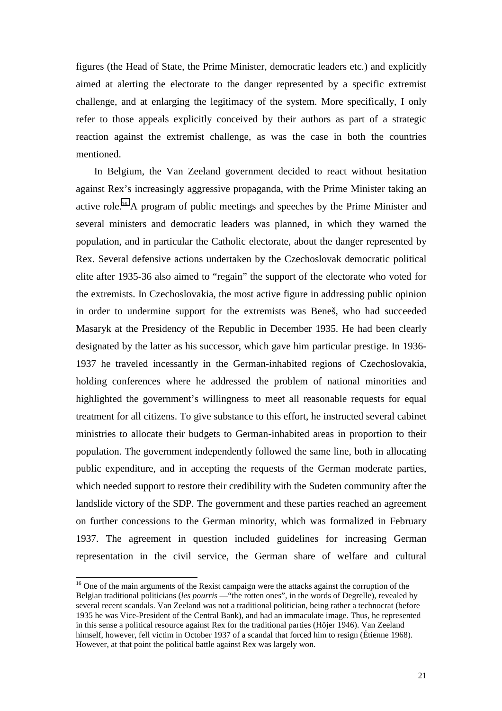figures (the Head of State, the Prime Minister, democratic leaders etc.) and explicitly aimed at alerting the electorate to the danger represented by a specific extremist challenge, and at enlarging the legitimacy of the system. More specifically, I only refer to those appeals explicitly conceived by their authors as part of a strategic reaction against the extremist challenge, as was the case in both the countries mentioned.

In Belgium, the Van Zeeland government decided to react without hesitation against Rex's increasingly aggressive propaganda, with the Prime Minister taking an active role.16 A program of public meetings and speeches by the Prime Minister and several ministers and democratic leaders was planned, in which they warned the population, and in particular the Catholic electorate, about the danger represented by Rex. Several defensive actions undertaken by the Czechoslovak democratic political elite after 1935-36 also aimed to "regain" the support of the electorate who voted for the extremists. In Czechoslovakia, the most active figure in addressing public opinion in order to undermine support for the extremists was Beneš, who had succeeded Masaryk at the Presidency of the Republic in December 1935. He had been clearly designated by the latter as his successor, which gave him particular prestige. In 1936- 1937 he traveled incessantly in the German-inhabited regions of Czechoslovakia, holding conferences where he addressed the problem of national minorities and highlighted the government's willingness to meet all reasonable requests for equal treatment for all citizens. To give substance to this effort, he instructed several cabinet ministries to allocate their budgets to German-inhabited areas in proportion to their population. The government independently followed the same line, both in allocating public expenditure, and in accepting the requests of the German moderate parties, which needed support to restore their credibility with the Sudeten community after the landslide victory of the SDP. The government and these parties reached an agreement on further concessions to the German minority, which was formalized in February 1937. The agreement in question included guidelines for increasing German representation in the civil service, the German share of welfare and cultural

 $\overline{\phantom{a}}$ 

<sup>&</sup>lt;sup>16</sup> One of the main arguments of the Rexist campaign were the attacks against the corruption of the Belgian traditional politicians (*les pourris* —"the rotten ones", in the words of Degrelle), revealed by several recent scandals. Van Zeeland was not a traditional politician, being rather a technocrat (before 1935 he was Vice-President of the Central Bank), and had an immaculate image. Thus, he represented in this sense a political resource against Rex for the traditional parties (Höjer 1946). Van Zeeland himself, however, fell victim in October 1937 of a scandal that forced him to resign (Étienne 1968). However, at that point the political battle against Rex was largely won.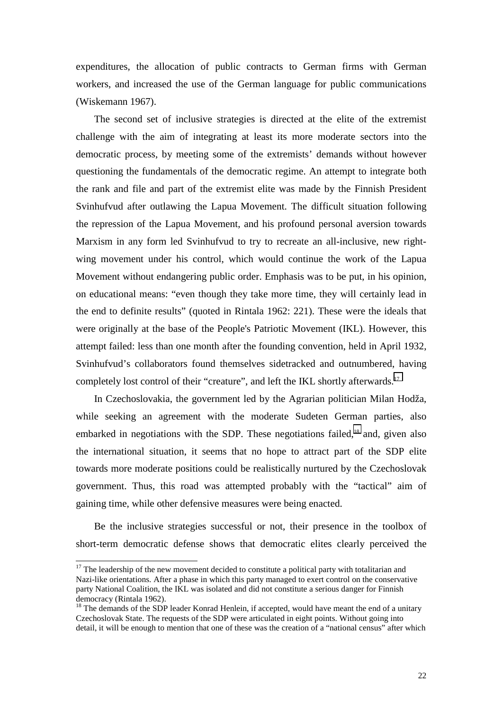expenditures, the allocation of public contracts to German firms with German workers, and increased the use of the German language for public communications (Wiskemann 1967).

The second set of inclusive strategies is directed at the elite of the extremist challenge with the aim of integrating at least its more moderate sectors into the democratic process, by meeting some of the extremists' demands without however questioning the fundamentals of the democratic regime. An attempt to integrate both the rank and file and part of the extremist elite was made by the Finnish President Svinhufvud after outlawing the Lapua Movement. The difficult situation following the repression of the Lapua Movement, and his profound personal aversion towards Marxism in any form led Svinhufvud to try to recreate an all-inclusive, new rightwing movement under his control, which would continue the work of the Lapua Movement without endangering public order. Emphasis was to be put, in his opinion, on educational means: "even though they take more time, they will certainly lead in the end to definite results" (quoted in Rintala 1962: 221). These were the ideals that were originally at the base of the People's Patriotic Movement (IKL). However, this attempt failed: less than one month after the founding convention, held in April 1932, Svinhufvud's collaborators found themselves sidetracked and outnumbered, having completely lost control of their "creature", and left the IKL shortly afterwards.<sup>17</sup>

In Czechoslovakia, the government led by the Agrarian politician Milan Hodža, while seeking an agreement with the moderate Sudeten German parties, also embarked in negotiations with the SDP. These negotiations failed,<sup>18</sup> and, given also the international situation, it seems that no hope to attract part of the SDP elite towards more moderate positions could be realistically nurtured by the Czechoslovak government. Thus, this road was attempted probably with the "tactical" aim of gaining time, while other defensive measures were being enacted.

Be the inclusive strategies successful or not, their presence in the toolbox of short-term democratic defense shows that democratic elites clearly perceived the

 $\overline{\phantom{a}}$ 

 $17$  The leadership of the new movement decided to constitute a political party with totalitarian and Nazi-like orientations. After a phase in which this party managed to exert control on the conservative party National Coalition, the IKL was isolated and did not constitute a serious danger for Finnish democracy (Rintala 1962).

<sup>&</sup>lt;sup>18</sup> The demands of the SDP leader Konrad Henlein, if accepted, would have meant the end of a unitary Czechoslovak State. The requests of the SDP were articulated in eight points. Without going into detail, it will be enough to mention that one of these was the creation of a "national census" after which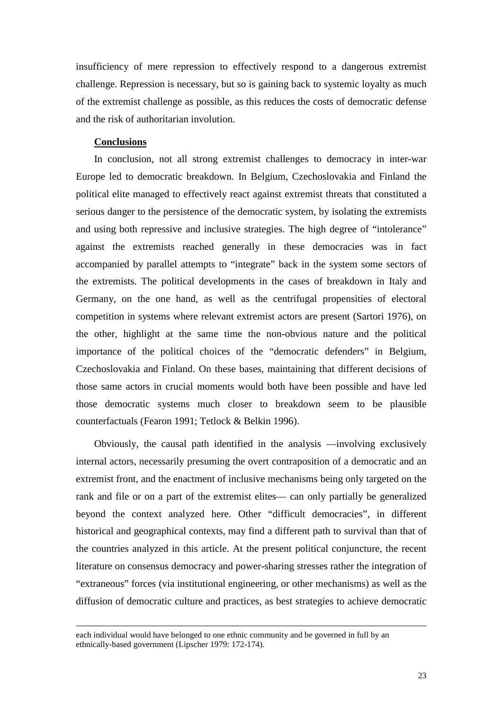insufficiency of mere repression to effectively respond to a dangerous extremist challenge. Repression is necessary, but so is gaining back to systemic loyalty as much of the extremist challenge as possible, as this reduces the costs of democratic defense and the risk of authoritarian involution.

#### **Conclusions**

 $\overline{\phantom{a}}$ 

In conclusion, not all strong extremist challenges to democracy in inter-war Europe led to democratic breakdown. In Belgium, Czechoslovakia and Finland the political elite managed to effectively react against extremist threats that constituted a serious danger to the persistence of the democratic system, by isolating the extremists and using both repressive and inclusive strategies. The high degree of "intolerance" against the extremists reached generally in these democracies was in fact accompanied by parallel attempts to "integrate" back in the system some sectors of the extremists. The political developments in the cases of breakdown in Italy and Germany, on the one hand, as well as the centrifugal propensities of electoral competition in systems where relevant extremist actors are present (Sartori 1976), on the other, highlight at the same time the non-obvious nature and the political importance of the political choices of the "democratic defenders" in Belgium, Czechoslovakia and Finland. On these bases, maintaining that different decisions of those same actors in crucial moments would both have been possible and have led those democratic systems much closer to breakdown seem to be plausible counterfactuals (Fearon 1991; Tetlock & Belkin 1996).

Obviously, the causal path identified in the analysis —involving exclusively internal actors, necessarily presuming the overt contraposition of a democratic and an extremist front, and the enactment of inclusive mechanisms being only targeted on the rank and file or on a part of the extremist elites— can only partially be generalized beyond the context analyzed here. Other "difficult democracies", in different historical and geographical contexts, may find a different path to survival than that of the countries analyzed in this article. At the present political conjuncture, the recent literature on consensus democracy and power-sharing stresses rather the integration of "extraneous" forces (via institutional engineering, or other mechanisms) as well as the diffusion of democratic culture and practices, as best strategies to achieve democratic

each individual would have belonged to one ethnic community and be governed in full by an ethnically-based government (Lipscher 1979: 172-174).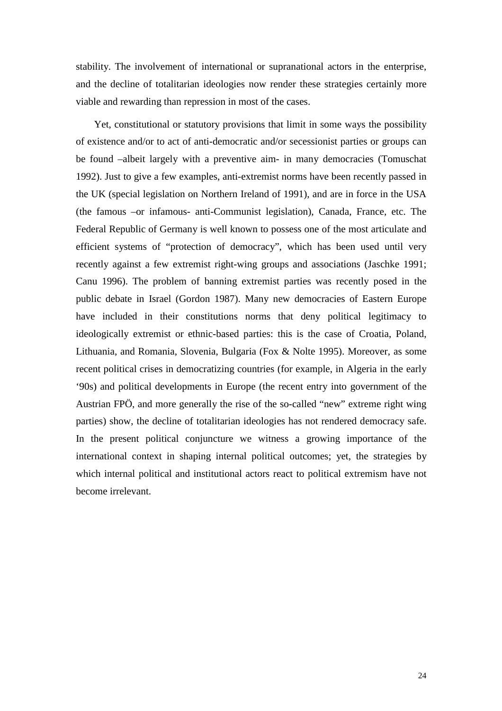stability. The involvement of international or supranational actors in the enterprise, and the decline of totalitarian ideologies now render these strategies certainly more viable and rewarding than repression in most of the cases.

Yet, constitutional or statutory provisions that limit in some ways the possibility of existence and/or to act of anti-democratic and/or secessionist parties or groups can be found –albeit largely with a preventive aim- in many democracies (Tomuschat 1992). Just to give a few examples, anti-extremist norms have been recently passed in the UK (special legislation on Northern Ireland of 1991), and are in force in the USA (the famous –or infamous- anti-Communist legislation), Canada, France, etc. The Federal Republic of Germany is well known to possess one of the most articulate and efficient systems of "protection of democracy", which has been used until very recently against a few extremist right-wing groups and associations (Jaschke 1991; Canu 1996). The problem of banning extremist parties was recently posed in the public debate in Israel (Gordon 1987). Many new democracies of Eastern Europe have included in their constitutions norms that deny political legitimacy to ideologically extremist or ethnic-based parties: this is the case of Croatia, Poland, Lithuania, and Romania, Slovenia, Bulgaria (Fox & Nolte 1995). Moreover, as some recent political crises in democratizing countries (for example, in Algeria in the early '90s) and political developments in Europe (the recent entry into government of the Austrian FPÖ, and more generally the rise of the so-called "new" extreme right wing parties) show, the decline of totalitarian ideologies has not rendered democracy safe. In the present political conjuncture we witness a growing importance of the international context in shaping internal political outcomes; yet, the strategies by which internal political and institutional actors react to political extremism have not become irrelevant.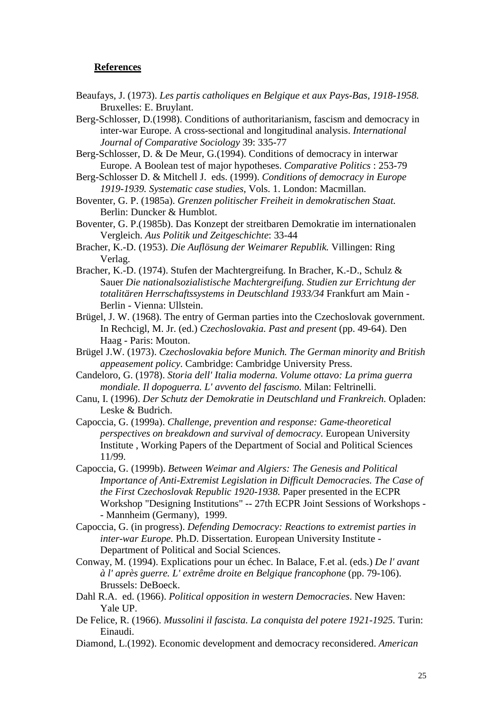#### **References**

- Beaufays, J. (1973). *Les partis catholiques en Belgique et aux Pays-Bas, 1918-1958.* Bruxelles: E. Bruylant.
- Berg-Schlosser, D.(1998). Conditions of authoritarianism, fascism and democracy in inter-war Europe. A cross-sectional and longitudinal analysis. *International Journal of Comparative Sociology* 39: 335-77
- Berg-Schlosser, D. & De Meur, G.(1994). Conditions of democracy in interwar Europe. A Boolean test of major hypotheses. *Comparative Politics* : 253-79
- Berg-Schlosser D. & Mitchell J. eds. (1999). *Conditions of democracy in Europe 1919-1939. Systematic case studies*, Vols. 1. London: Macmillan.
- Boventer, G. P. (1985a). *Grenzen politischer Freiheit in demokratischen Staat.* Berlin: Duncker & Humblot.
- Boventer, G. P.(1985b). Das Konzept der streitbaren Demokratie im internationalen Vergleich. *Aus Politik und Zeitgeschichte*: 33-44
- Bracher, K.-D. (1953). *Die Auflösung der Weimarer Republik.* Villingen: Ring Verlag.
- Bracher, K.-D. (1974). Stufen der Machtergreifung. In Bracher, K.-D., Schulz & Sauer *Die nationalsozialistische Machtergreifung. Studien zur Errichtung der totalitären Herrschaftssystems in Deutschland 1933/34* Frankfurt am Main - Berlin - Vienna: Ullstein.
- Brügel, J. W. (1968). The entry of German parties into the Czechoslovak government. In Rechcigl, M. Jr. (ed.) *Czechoslovakia. Past and present* (pp. 49-64). Den Haag - Paris: Mouton.
- Brügel J.W. (1973). *Czechoslovakia before Munich. The German minority and British appeasement policy*. Cambridge: Cambridge University Press.
- Candeloro, G. (1978). *Storia dell' Italia moderna. Volume ottavo: La prima guerra mondiale. Il dopoguerra. L' avvento del fascismo.* Milan: Feltrinelli.
- Canu, I. (1996). *Der Schutz der Demokratie in Deutschland und Frankreich.* Opladen: Leske & Budrich.
- Capoccia, G. (1999a). *Challenge, prevention and response: Game-theoretical perspectives on breakdown and survival of democracy*. European University Institute , Working Papers of the Department of Social and Political Sciences 11/99.
- Capoccia, G. (1999b). *Between Weimar and Algiers: The Genesis and Political Importance of Anti-Extremist Legislation in Difficult Democracies. The Case of the First Czechoslovak Republic 1920-1938.* Paper presented in the ECPR Workshop "Designing Institutions" -- 27th ECPR Joint Sessions of Workshops - - Mannheim (Germany), 1999.
- Capoccia, G. (in progress). *Defending Democracy: Reactions to extremist parties in inter-war Europe.* Ph.D. Dissertation. European University Institute - Department of Political and Social Sciences.
- Conway, M. (1994). Explications pour un échec. In Balace, F.et al. (eds.) *De l' avant à l' après guerre. L' extrême droite en Belgique francophone* (pp. 79-106). Brussels: DeBoeck.
- Dahl R.A. ed. (1966). *Political opposition in western Democracies*. New Haven: Yale UP.
- De Felice, R. (1966). *Mussolini il fascista. La conquista del potere 1921-1925.* Turin: Einaudi.
- Diamond, L.(1992). Economic development and democracy reconsidered. *American*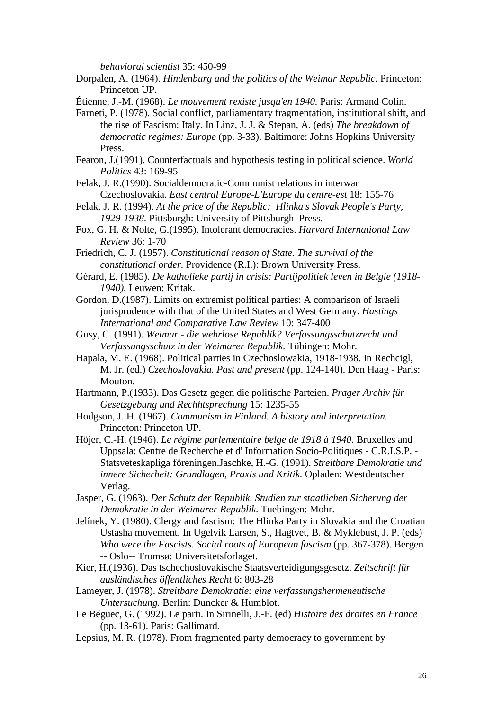*behavioral scientist* 35: 450-99

Dorpalen, A. (1964). *Hindenburg and the politics of the Weimar Republic.* Princeton: Princeton UP.

Étienne, J.-M. (1968). *Le mouvement rexiste jusqu'en 1940.* Paris: Armand Colin.

- Farneti, P. (1978). Social conflict, parliamentary fragmentation, institutional shift, and the rise of Fascism: Italy. In Linz, J. J. & Stepan, A. (eds) *The breakdown of democratic regimes: Europe* (pp. 3-33). Baltimore: Johns Hopkins University Press.
- Fearon, J.(1991). Counterfactuals and hypothesis testing in political science. *World Politics* 43: 169-95
- Felak, J. R.(1990). Socialdemocratic-Communist relations in interwar Czechoslovakia. *East central Europe-L'Europe du centre-est* 18: 155-76
- Felak, J. R. (1994). *At the price of the Republic: Hlinka's Slovak People's Party, 1929-1938.* Pittsburgh: University of Pittsburgh Press.
- Fox, G. H. & Nolte, G.(1995). Intolerant democracies. *Harvard International Law Review* 36: 1-70

Friedrich, C. J. (1957). *Constitutional reason of State. The survival of the constitutional order.* Providence (R.I.): Brown University Press.

- Gérard, E. (1985). *De katholieke partij in crisis: Partijpolitiek leven in Belgie (1918- 1940).* Leuwen: Kritak.
- Gordon, D.(1987). Limits on extremist political parties: A comparison of Israeli jurisprudence with that of the United States and West Germany. *Hastings International and Comparative Law Review* 10: 347-400
- Gusy, C. (1991). *Weimar die wehrlose Republik? Verfassungsschutzrecht und Verfassungsschutz in der Weimarer Republik.* Tübingen: Mohr.
- Hapala, M. E. (1968). Political parties in Czechoslowakia, 1918-1938. In Rechcigl, M. Jr. (ed.) *Czechoslovakia. Past and present* (pp. 124-140). Den Haag - Paris: Mouton.
- Hartmann, P.(1933). Das Gesetz gegen die politische Parteien. *Prager Archiv für Gesetzgebung und Rechhtsprechung* 15: 1235-55
- Hodgson, J. H. (1967). *Communism in Finland. A history and interpretation.* Princeton: Princeton UP.
- Höjer, C.-H. (1946). *Le régime parlementaire belge de 1918 à 1940.* Bruxelles and Uppsala: Centre de Recherche et d' Information Socio-Politiques - C.R.I.S.P. - Statsveteskapliga föreningen.Jaschke, H.-G. (1991). *Streitbare Demokratie und innere Sicherheit: Grundlagen, Praxis und Kritik.* Opladen: Westdeutscher Verlag.
- Jasper, G. (1963). *Der Schutz der Republik. Studien zur staatlichen Sicherung der Demokratie in der Weimarer Republik.* Tuebingen: Mohr.
- Jelínek, Y. (1980). Clergy and fascism: The Hlinka Party in Slovakia and the Croatian Ustasha movement. In Ugelvik Larsen, S., Hagtvet, B. & Myklebust, J. P. (eds) *Who were the Fascists. Social roots of European fascism* (pp. 367-378). Bergen -- Oslo-- Tromsø: Universitetsforlaget.
- Kier, H.(1936). Das tschechoslovakische Staatsverteidigungsgesetz. *Zeitschrift für ausländisches öffentliches Recht* 6: 803-28
- Lameyer, J. (1978). *Streitbare Demokratie: eine verfassungshermeneutische Untersuchung.* Berlin: Duncker & Humblot.
- Le Béguec, G. (1992). Le parti. In Sirinelli, J.-F. (ed) *Histoire des droites en France* (pp. 13-61). Paris: Gallimard.
- Lepsius, M. R. (1978). From fragmented party democracy to government by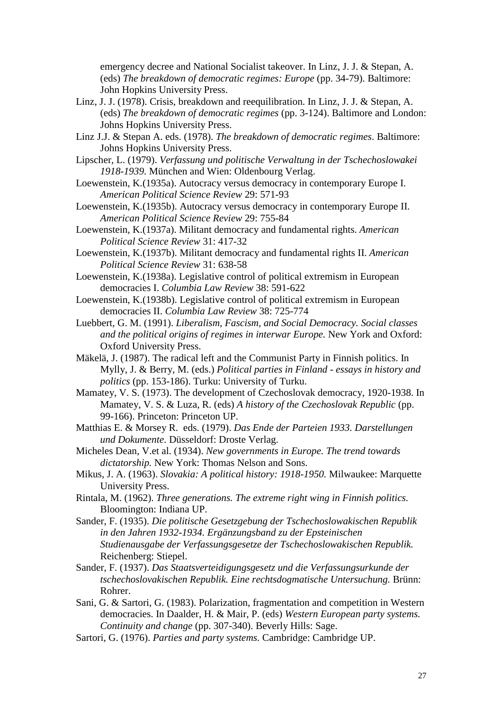emergency decree and National Socialist takeover. In Linz, J. J. & Stepan, A. (eds) *The breakdown of democratic regimes: Europe* (pp. 34-79). Baltimore: John Hopkins University Press.

- Linz, J. J. (1978). Crisis, breakdown and reequilibration. In Linz, J. J. & Stepan, A. (eds) *The breakdown of democratic regimes* (pp. 3-124). Baltimore and London: Johns Hopkins University Press.
- Linz J.J. & Stepan A. eds. (1978). *The breakdown of democratic regimes*. Baltimore: Johns Hopkins University Press.
- Lipscher, L. (1979). *Verfassung und politische Verwaltung in der Tschechoslowakei 1918-1939.* München and Wien: Oldenbourg Verlag.
- Loewenstein, K.(1935a). Autocracy versus democracy in contemporary Europe I. *American Political Science Review* 29: 571-93
- Loewenstein, K.(1935b). Autocracy versus democracy in contemporary Europe II. *American Political Science Review* 29: 755-84
- Loewenstein, K.(1937a). Militant democracy and fundamental rights. *American Political Science Review* 31: 417-32
- Loewenstein, K.(1937b). Militant democracy and fundamental rights II. *American Political Science Review* 31: 638-58
- Loewenstein, K.(1938a). Legislative control of political extremism in European democracies I. *Columbia Law Review* 38: 591-622
- Loewenstein, K.(1938b). Legislative control of political extremism in European democracies II. *Columbia Law Review* 38: 725-774
- Luebbert, G. M. (1991). *Liberalism, Fascism, and Social Democracy. Social classes and the political origins of regimes in interwar Europe.* New York and Oxford: Oxford University Press.
- Mäkelä, J. (1987). The radical left and the Communist Party in Finnish politics. In Mylly, J. & Berry, M. (eds.) *Political parties in Finland - essays in history and politics* (pp. 153-186). Turku: University of Turku.
- Mamatey, V. S. (1973). The development of Czechoslovak democracy, 1920-1938. In Mamatey, V. S. & Luza, R. (eds) *A history of the Czechoslovak Republic* (pp. 99-166). Princeton: Princeton UP.
- Matthias E. & Morsey R. eds. (1979). *Das Ende der Parteien 1933. Darstellungen und Dokumente*. Düsseldorf: Droste Verlag.
- Micheles Dean, V.et al. (1934). *New governments in Europe. The trend towards dictatorship.* New York: Thomas Nelson and Sons.
- Mikus, J. A. (1963). *Slovakia: A political history: 1918-1950.* Milwaukee: Marquette University Press.
- Rintala, M. (1962). *Three generations. The extreme right wing in Finnish politics.* Bloomington: Indiana UP.
- Sander, F. (1935). *Die politische Gesetzgebung der Tschechoslowakischen Republik in den Jahren 1932-1934. Ergänzungsband zu der Epsteinischen Studienausgabe der Verfassungsgesetze der Tschechoslowakischen Republik.* Reichenberg: Stiepel.
- Sander, F. (1937). *Das Staatsverteidigungsgesetz und die Verfassungsurkunde der tschechoslovakischen Republik. Eine rechtsdogmatische Untersuchung.* Brünn: Rohrer.
- Sani, G. & Sartori, G. (1983). Polarization, fragmentation and competition in Western democracies. In Daalder, H. & Mair, P. (eds) *Western European party systems. Continuity and change* (pp. 307-340). Beverly Hills: Sage.
- Sartori, G. (1976). *Parties and party systems.* Cambridge: Cambridge UP.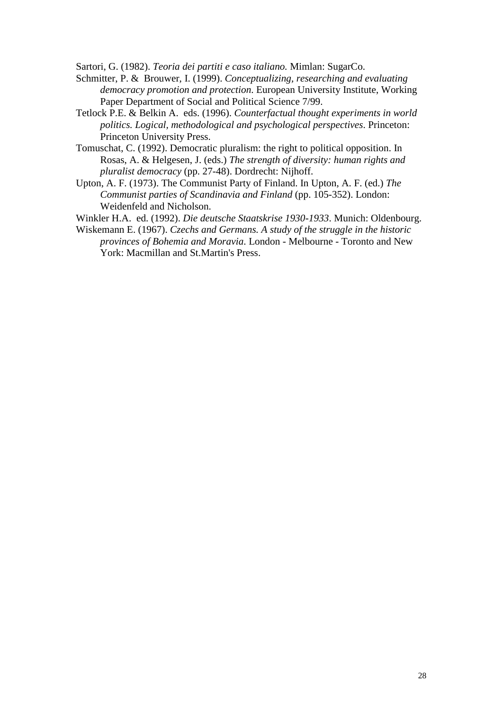Sartori, G. (1982). *Teoria dei partiti e caso italiano.* Mimlan: SugarCo.

- Schmitter, P. & Brouwer, I. (1999). *Conceptualizing, researching and evaluating democracy promotion and protection*. European University Institute, Working Paper Department of Social and Political Science 7/99.
- Tetlock P.E. & Belkin A. eds. (1996). *Counterfactual thought experiments in world politics. Logical, methodological and psychological perspectives*. Princeton: Princeton University Press.
- Tomuschat, C. (1992). Democratic pluralism: the right to political opposition. In Rosas, A. & Helgesen, J. (eds.) *The strength of diversity: human rights and pluralist democracy* (pp. 27-48). Dordrecht: Nijhoff.
- Upton, A. F. (1973). The Communist Party of Finland. In Upton, A. F. (ed.) *The Communist parties of Scandinavia and Finland* (pp. 105-352). London: Weidenfeld and Nicholson.

Winkler H.A. ed. (1992). *Die deutsche Staatskrise 1930-1933*. Munich: Oldenbourg.

Wiskemann E. (1967). *Czechs and Germans. A study of the struggle in the historic provinces of Bohemia and Moravia*. London - Melbourne - Toronto and New York: Macmillan and St.Martin's Press.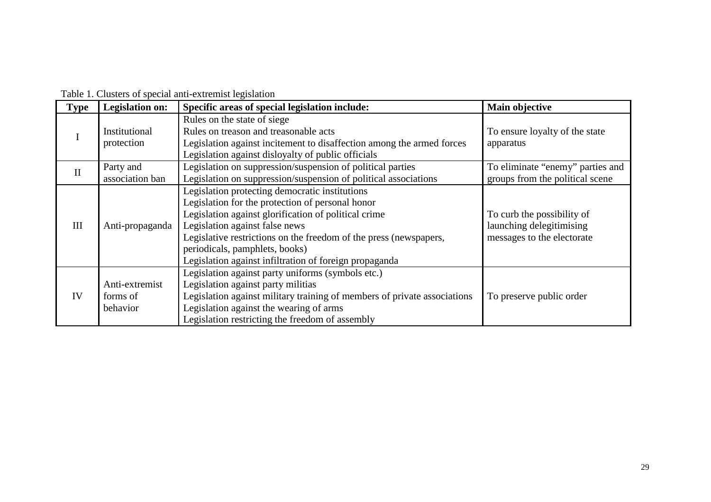| <b>Type</b>  | <b>Legislation on:</b>                 | Specific areas of special legislation include:                                                                                                                                                                                                                                                                                                                | Main objective                                                                       |
|--------------|----------------------------------------|---------------------------------------------------------------------------------------------------------------------------------------------------------------------------------------------------------------------------------------------------------------------------------------------------------------------------------------------------------------|--------------------------------------------------------------------------------------|
| I            | Institutional<br>protection            | Rules on the state of siege<br>Rules on treason and treasonable acts<br>Legislation against incitement to disaffection among the armed forces<br>Legislation against disloyalty of public officials                                                                                                                                                           | To ensure loyalty of the state<br>apparatus                                          |
| $\mathbf{I}$ | Party and<br>association ban           | To eliminate "enemy" parties and<br>groups from the political scene                                                                                                                                                                                                                                                                                           |                                                                                      |
| III          | Anti-propaganda                        | Legislation protecting democratic institutions<br>Legislation for the protection of personal honor<br>Legislation against glorification of political crime<br>Legislation against false news<br>Legislative restrictions on the freedom of the press (newspapers,<br>periodicals, pamphlets, books)<br>Legislation against infiltration of foreign propaganda | To curb the possibility of<br>launching delegitimising<br>messages to the electorate |
| IV           | Anti-extremist<br>forms of<br>behavior | Legislation against party uniforms (symbols etc.)<br>Legislation against party militias<br>Legislation against military training of members of private associations<br>Legislation against the wearing of arms<br>Legislation restricting the freedom of assembly                                                                                             | To preserve public order                                                             |

Table 1. Clusters of special anti-extremist legislation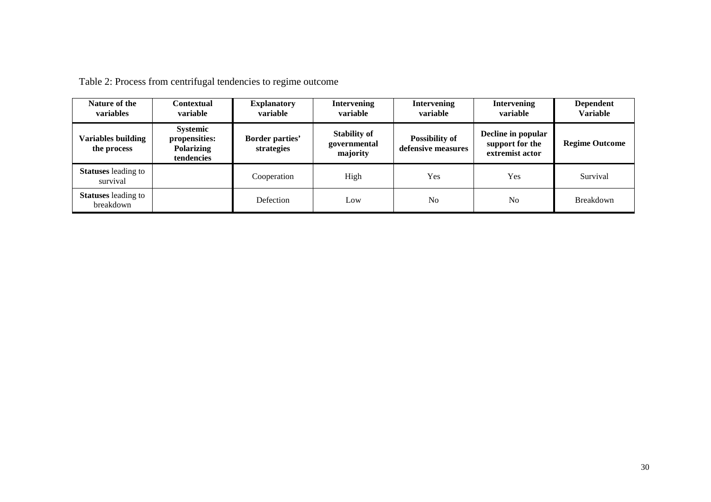| Nature of the<br>variables              | <b>Contextual</b><br>variable                                       | <b>Explanatory</b><br>variable       | <b>Intervening</b><br>variable                  | <b>Intervening</b><br>variable              | <b>Intervening</b><br>variable                           | <b>Dependent</b><br><b>Variable</b> |
|-----------------------------------------|---------------------------------------------------------------------|--------------------------------------|-------------------------------------------------|---------------------------------------------|----------------------------------------------------------|-------------------------------------|
| Variables building<br>the process       | <b>Systemic</b><br>propensities:<br><b>Polarizing</b><br>tendencies | <b>Border parties'</b><br>strategies | <b>Stability of</b><br>governmental<br>majority | <b>Possibility of</b><br>defensive measures | Decline in popular<br>support for the<br>extremist actor | <b>Regime Outcome</b>               |
| <b>Statuses</b> leading to<br>survival  |                                                                     | Cooperation                          | High                                            | Yes                                         | Yes                                                      | Survival                            |
| <b>Statuses</b> leading to<br>breakdown |                                                                     | Defection                            | Low                                             | No                                          | N <sub>0</sub>                                           | <b>Breakdown</b>                    |

Table 2: Process from centrifugal tendencies to regime outcome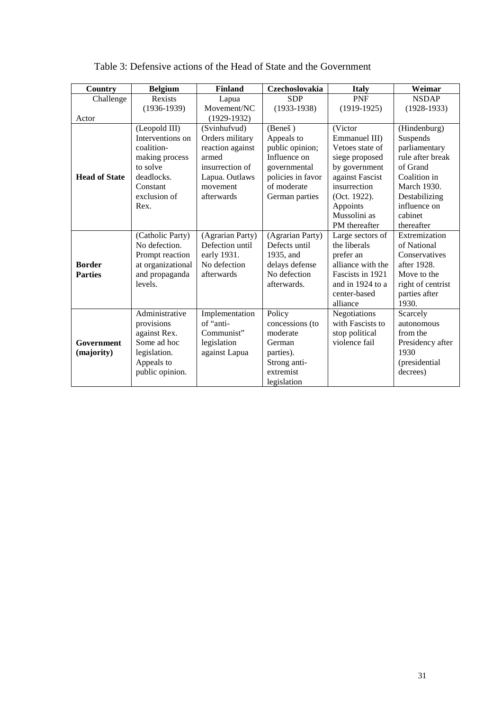| <b>Country</b>       | <b>Belgium</b>    | <b>Finland</b>   | Czechoslovakia    | <b>Italy</b>      | Weimar            |
|----------------------|-------------------|------------------|-------------------|-------------------|-------------------|
| Challenge            | Rexists           | Lapua            | <b>SDP</b>        | <b>PNF</b>        | <b>NSDAP</b>      |
|                      | $(1936-1939)$     | Movement/NC      | $(1933-1938)$     | $(1919-1925)$     | $(1928-1933)$     |
| Actor                |                   | $(1929-1932)$    |                   |                   |                   |
|                      | (Leopold III)     | (Svinhufvud)     | (Beneš)           | (Victor           | (Hindenburg)      |
|                      | Interventions on  | Orders military  | Appeals to        | Emmanuel III)     | Suspends          |
|                      | coalition-        | reaction against | public opinion;   | Vetoes state of   | parliamentary     |
|                      | making process    | armed            | Influence on      | siege proposed    | rule after break  |
|                      | to solve          | insurrection of  | governmental      | by government     | of Grand          |
| <b>Head of State</b> | deadlocks.        | Lapua. Outlaws   | policies in favor | against Fascist   | Coalition in      |
|                      | Constant          | movement         | of moderate       | insurrection      | March 1930.       |
|                      | exclusion of      | afterwards       | German parties    | (Oct. 1922).      | Destabilizing     |
|                      | Rex.              |                  |                   | Appoints          | influence on      |
|                      |                   |                  |                   | Mussolini as      | cabinet           |
|                      |                   |                  |                   | PM thereafter     | thereafter        |
|                      | (Catholic Party)  | (Agrarian Party) | (Agrarian Party)  | Large sectors of  | Extremization     |
|                      | No defection.     | Defection until  | Defects until     | the liberals      | of National       |
|                      | Prompt reaction   | early 1931.      | 1935, and         | prefer an         | Conservatives     |
| <b>Border</b>        | at organizational | No defection     | delays defense    | alliance with the | after 1928.       |
| <b>Parties</b>       | and propaganda    | afterwards       | No defection      | Fascists in 1921  | Move to the       |
|                      | levels.           |                  | afterwards.       | and in 1924 to a  | right of centrist |
|                      |                   |                  |                   | center-based      | parties after     |
|                      |                   |                  |                   | alliance          | 1930.             |
|                      | Administrative    | Implementation   | Policy            | Negotiations      | Scarcely          |
|                      | provisions        | of "anti-        | concessions (to   | with Fascists to  | autonomous        |
|                      | against Rex.      | Communist"       | moderate          | stop political    | from the          |
| Government           | Some ad hoc       | legislation      | German            | violence fail     | Presidency after  |
| (majority)           | legislation.      | against Lapua    | parties).         |                   | 1930              |
|                      | Appeals to        |                  | Strong anti-      |                   | (presidential     |
|                      | public opinion.   |                  | extremist         |                   | decrees)          |
|                      |                   |                  | legislation       |                   |                   |

### Table 3: Defensive actions of the Head of State and the Government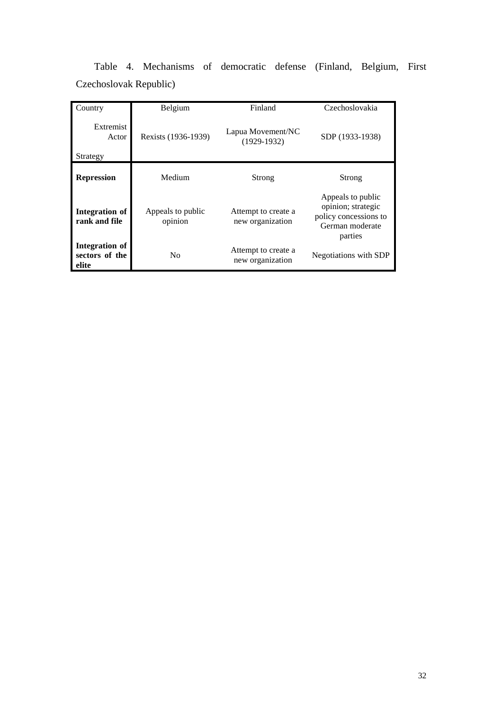|  | Table 4. Mechanisms of democratic defense (Finland, Belgium, First |  |  |  |
|--|--------------------------------------------------------------------|--|--|--|
|  | Czechoslovak Republic)                                             |  |  |  |

| Country                                   | Belgium                                                   | Finland                                 | Czechoslovakia                                                                                 |  |
|-------------------------------------------|-----------------------------------------------------------|-----------------------------------------|------------------------------------------------------------------------------------------------|--|
| Extremist<br>Actor<br>Strategy            | Lapua Movement/NC<br>Rexists (1936-1939)<br>$(1929-1932)$ |                                         | SDP (1933-1938)                                                                                |  |
| <b>Repression</b>                         | Medium                                                    | Strong                                  | Strong                                                                                         |  |
| <b>Integration</b> of<br>rank and file    | Appeals to public<br>opinion                              | Attempt to create a<br>new organization | Appeals to public<br>opinion; strategic<br>policy concessions to<br>German moderate<br>parties |  |
| Integration of<br>sectors of the<br>elite | N <sub>0</sub>                                            | Attempt to create a<br>new organization | Negotiations with SDP                                                                          |  |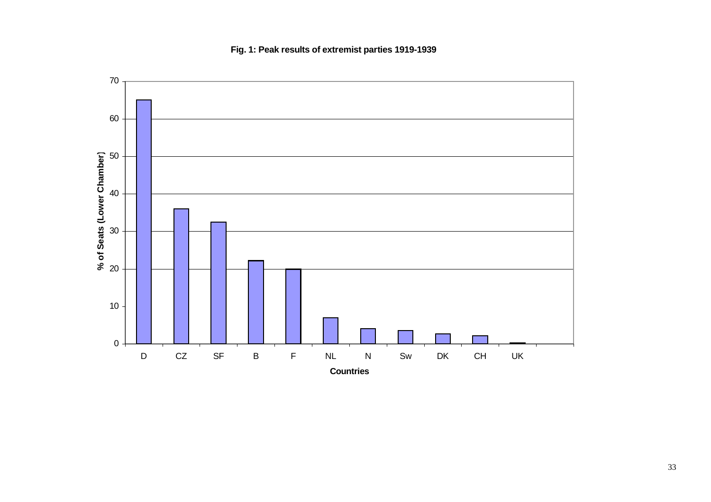$0<sup>-1</sup>$ 10 20 30 40 50 **)**60 70 D CZ SF B F NL N Sw DK CH UK **Countries % of Seats (Lower Chamber**

**Fig. 1: Peak results of extremist parties 1919-1939**